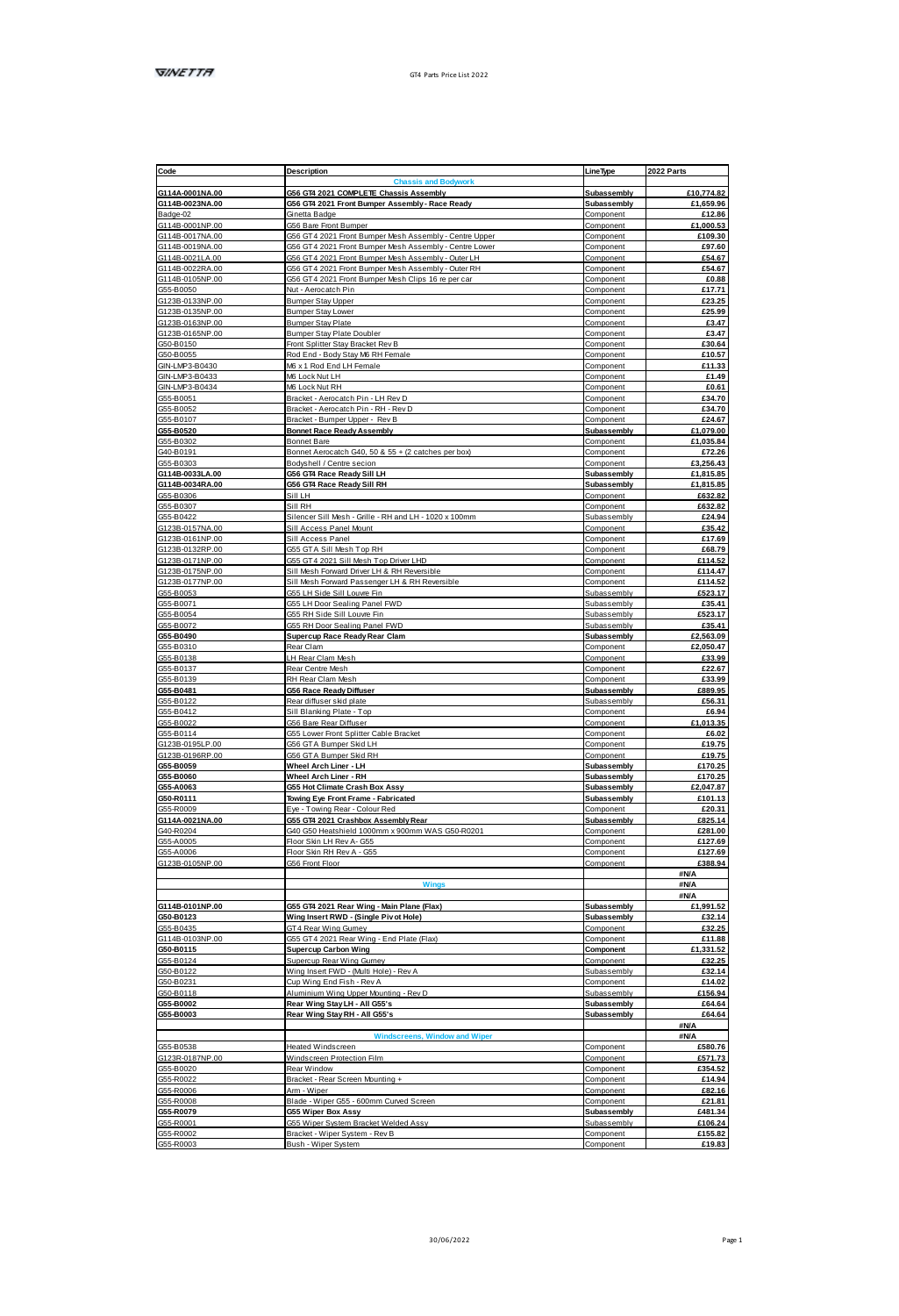| G114A-0001NA.00<br>G114B-0023NA.00                                                                                      |                                                                        | LineType                 |                                                                                                                                                                                                    |
|-------------------------------------------------------------------------------------------------------------------------|------------------------------------------------------------------------|--------------------------|----------------------------------------------------------------------------------------------------------------------------------------------------------------------------------------------------|
|                                                                                                                         | <b>Chassis and Bodwork</b>                                             |                          |                                                                                                                                                                                                    |
|                                                                                                                         | G56 GT4 2021 COMPLETE Chassis Assembly                                 | Subassembly              | £10,774.82                                                                                                                                                                                         |
|                                                                                                                         | G56 GT4 2021 Front Bumper Assembly - Race Ready                        | Subassembly              | £1,659.96                                                                                                                                                                                          |
|                                                                                                                         |                                                                        |                          |                                                                                                                                                                                                    |
| Badge-02                                                                                                                | Ginetta Badoe                                                          | Component                | £12.86                                                                                                                                                                                             |
| G114B-0001NP.00                                                                                                         | G56 Bare Front Burnper                                                 | Component                | £1,000.53                                                                                                                                                                                          |
| G114B-0017NA.00                                                                                                         | G56 GT4 2021 Front Bumper Mesh Assembly - Centre Upper                 | Component                | £109.30                                                                                                                                                                                            |
| G114B-0019NA.00                                                                                                         | G56 GT4 2021 Front Bumper Mesh Assembly - Centre Lower                 | Component                | £97.60                                                                                                                                                                                             |
| G114B-0021LA 00                                                                                                         | G56 GT4 2021 Front Burnper Mesh Assembly - Outer LH                    | Component                | <b>F54 67</b>                                                                                                                                                                                      |
|                                                                                                                         |                                                                        |                          |                                                                                                                                                                                                    |
| G114B-0022RA.00                                                                                                         | G56 GT4 2021 Front Burnper Mesh Assembly - Outer RH                    | Component                | £54.67                                                                                                                                                                                             |
| G114B-0105NP.00                                                                                                         | G56 GT4 2021 Front Bumper Mesh Clips 16 m per car                      | Component                | £0.88                                                                                                                                                                                              |
| GSS-R0050                                                                                                               | Nut - Aeronatch Pin                                                    | Component                | £17.71                                                                                                                                                                                             |
| G123B-0133NP.00                                                                                                         | Bumper Stay Upper                                                      | Component                | £23.25                                                                                                                                                                                             |
| G123B-0135NP.00                                                                                                         |                                                                        |                          |                                                                                                                                                                                                    |
|                                                                                                                         | <b>Bumper Stay Lower</b>                                               | Component                | £25.99                                                                                                                                                                                             |
| G123B-0163NP.00                                                                                                         | Bumper Stay Plate                                                      | Component                | £3.47                                                                                                                                                                                              |
| G123B-0165NP.00                                                                                                         | Bumper Stay Plate Doubler                                              | Component                | £3.47                                                                                                                                                                                              |
| G50-B0150                                                                                                               | Front Splitter Stay Bracket Rev B                                      | Component                | £30.64                                                                                                                                                                                             |
| G50-B0055                                                                                                               | Rod End - Body Stay M6 RH Female                                       | Component                | £10.57                                                                                                                                                                                             |
|                                                                                                                         |                                                                        |                          |                                                                                                                                                                                                    |
| GIN-LMP3-B0430                                                                                                          | M6 x 1 Rod End LH Female                                               | Component                | £11.33                                                                                                                                                                                             |
| GINJ MPS RO433                                                                                                          | MR Lock Not LH                                                         | Component                | 61.49                                                                                                                                                                                              |
| GIN-LMP3-B0434                                                                                                          | M6 Lock Nut RH                                                         | Component                | £0.61                                                                                                                                                                                              |
| 355-80051                                                                                                               | Bracket - Aerocatch Pin - LH Rev D                                     | Component                | £34.70                                                                                                                                                                                             |
|                                                                                                                         |                                                                        |                          |                                                                                                                                                                                                    |
| GS5-B0052                                                                                                               | Reacket - Agencatch Pin - RH - Rev D                                   | Component                | 634.70                                                                                                                                                                                             |
| GSS-R0107                                                                                                               | Bracket - Bumper Upper - Rev B                                         | Component                | £24.67                                                                                                                                                                                             |
| G55-B0520                                                                                                               | Bonnet Race Ready Assembly                                             | Subassembly              | £1.079.00                                                                                                                                                                                          |
| G55-B0302                                                                                                               | Bonnet Bare                                                            | Component                | £1,035.84                                                                                                                                                                                          |
|                                                                                                                         |                                                                        |                          |                                                                                                                                                                                                    |
| G40-R0191                                                                                                               | Bonnet Aerocatch G40, 50 & 55 + (2 catches per box)                    | Component                | <b>672.26</b>                                                                                                                                                                                      |
| GSS-B0303                                                                                                               | Bodyshell / Centre secion                                              | Component                | £3,256.43                                                                                                                                                                                          |
| G114B-0033LA.00                                                                                                         | G56 GT4 Race Ready Sill LH                                             | Subassembly              | £1,815.85                                                                                                                                                                                          |
|                                                                                                                         |                                                                        |                          |                                                                                                                                                                                                    |
| G114B-0034RA.00                                                                                                         | G56 GT4 Race Ready Sill RH                                             | Subassembly              | £1,815.85                                                                                                                                                                                          |
| G55-B0306                                                                                                               | <b>Sill LH</b>                                                         | Component                | £632.82                                                                                                                                                                                            |
| G55-B0307                                                                                                               | Sill RH                                                                | Component                | £632.82                                                                                                                                                                                            |
| G55-B0422                                                                                                               | Silencer Sill Mesh - Grille - RH and LH - 1020 x 100mm                 | Subassembly              | £24.94                                                                                                                                                                                             |
| G123B-0157NA 00                                                                                                         | Sill Access Panel Mount                                                |                          | 635.42                                                                                                                                                                                             |
|                                                                                                                         |                                                                        | Component                |                                                                                                                                                                                                    |
| G123B-0161NP 00                                                                                                         | <b>Sill Anness Panel</b>                                               | Component                | £17.69                                                                                                                                                                                             |
| G123B-0132RP.00                                                                                                         | GSS GTA Sill Mash Top RH                                               | Component                | £68.79                                                                                                                                                                                             |
| G123B-0171NP.00                                                                                                         | G55 GT4 2021 Sill Mash Top Driver LHD                                  | Component                | £114.52                                                                                                                                                                                            |
| 3123B-0175NP 00                                                                                                         | Sill Mosh Forward Driver I H & RH Reversible                           | Component                | <b>£114.47</b>                                                                                                                                                                                     |
|                                                                                                                         |                                                                        |                          |                                                                                                                                                                                                    |
| G123B-0177NP.00                                                                                                         | Sill Mesh Forward Passenger LH & RH Reversible                         | Component                | £114.52                                                                                                                                                                                            |
| 355-B0053                                                                                                               | GSS LH Side Sill Louvre Fin                                            | Subassembly              | £523.17                                                                                                                                                                                            |
| G55-B0071                                                                                                               | GSS LH Door Sealing Panel FWD                                          | Subassembly              | £35.41                                                                                                                                                                                             |
| GSS.R0054                                                                                                               |                                                                        | Subassembly              |                                                                                                                                                                                                    |
|                                                                                                                         | GSS RH Side Sill Louvre Fin                                            |                          | £523.17                                                                                                                                                                                            |
| G55-B0072                                                                                                               | G55 RH Door Sealing Panel FWD                                          | Subassembly              | £35.41                                                                                                                                                                                             |
| G55-B0490                                                                                                               | Supercup Race Ready Rear Cla                                           | Subassembly              | £2,563.09                                                                                                                                                                                          |
| G55-B0310                                                                                                               | Rear Clam                                                              | Component                | £2,050.47                                                                                                                                                                                          |
| GSS-R0138                                                                                                               | H Rear Clam Mash                                                       | Component                | 633.99                                                                                                                                                                                             |
|                                                                                                                         |                                                                        |                          |                                                                                                                                                                                                    |
| G55-B0137                                                                                                               | Rear Centre Mesh                                                       | Component                | £22.67                                                                                                                                                                                             |
| G55-B0139                                                                                                               | RH Rear Clam Mesh                                                      | Component                | £33.99                                                                                                                                                                                             |
| 055-R0481                                                                                                               | <b>G56 Race Ready Diffuser</b>                                         | <b>Subassembly</b>       | <b>FRR9 95</b>                                                                                                                                                                                     |
|                                                                                                                         |                                                                        |                          |                                                                                                                                                                                                    |
| G55-B0122                                                                                                               | Rear diffuser skid plate                                               | Subassembly              | £56.31                                                                                                                                                                                             |
| G55-B0412                                                                                                               | Sill Blanking Plate - Top                                              | Component                | £6.94                                                                                                                                                                                              |
| GSS-B0022                                                                                                               | G56 Bare Rear Diffuser                                                 | Component                | £1.013.35                                                                                                                                                                                          |
| G55-B0114                                                                                                               | G55 Lower Front Splitter Cable Bracket                                 | Component                | £6.02                                                                                                                                                                                              |
| G123B-0195LP.00                                                                                                         | G56 GTA Bumper Skid LH                                                 | Component                | £19.75                                                                                                                                                                                             |
|                                                                                                                         |                                                                        |                          |                                                                                                                                                                                                    |
| G123B-0196RP.00                                                                                                         | <b>GSR GTA Rumner Skid RH</b>                                          | Component                | £19.75                                                                                                                                                                                             |
|                                                                                                                         | Wheel Arch Liner - LH                                                  |                          |                                                                                                                                                                                                    |
| G55-B0059                                                                                                               |                                                                        | Subassembly              |                                                                                                                                                                                                    |
| GSS-R0060                                                                                                               |                                                                        |                          |                                                                                                                                                                                                    |
|                                                                                                                         | Wheel Arch Liner - RH                                                  | Subassembly              |                                                                                                                                                                                                    |
|                                                                                                                         | G55 Hot Climate Crash Box Assy                                         | Subassembly              |                                                                                                                                                                                                    |
|                                                                                                                         | Towing Eye Front Frame - Fabricated                                    | Subassembly              |                                                                                                                                                                                                    |
|                                                                                                                         | Fue - Towing Rear - Colour Red                                         | Component                |                                                                                                                                                                                                    |
|                                                                                                                         | G55 GT4 2021 Crashbox Assembly Rear                                    | Subassembly              |                                                                                                                                                                                                    |
|                                                                                                                         |                                                                        |                          |                                                                                                                                                                                                    |
|                                                                                                                         | G40 G50 Heatshield 1000mm x 900mm WAS G50-R0201                        | Component                |                                                                                                                                                                                                    |
|                                                                                                                         | Floor Skin LH Rev A-G55                                                | Component                |                                                                                                                                                                                                    |
| G55-A0063<br>G50-R0111<br>GSS.R0009<br>G114A-0021NA.00<br>G40-R0204<br>G55-A0005<br>055-40006                           | Floor Skin RH Rev A - GSS                                              |                          |                                                                                                                                                                                                    |
|                                                                                                                         | GS6 Front Floor                                                        | Component<br>Component   | £170.25<br>£170.25<br>£2,047.87<br>£101.13<br>620.31<br>£825.14<br>£281.00<br>£127.69<br>£127.69<br>6388.94                                                                                        |
|                                                                                                                         |                                                                        |                          |                                                                                                                                                                                                    |
|                                                                                                                         |                                                                        |                          | <b>SNA</b>                                                                                                                                                                                         |
|                                                                                                                         | Wir                                                                    |                          | <b>BN/A</b>                                                                                                                                                                                        |
|                                                                                                                         |                                                                        |                          | <b>BMA</b>                                                                                                                                                                                         |
| G123B-0105NP 00<br>G114B-0101NP.00                                                                                      | G55 GT4 2021 Rear Wing - Main Plane (Flax)                             | Subassembly              |                                                                                                                                                                                                    |
|                                                                                                                         |                                                                        |                          |                                                                                                                                                                                                    |
|                                                                                                                         | Wing Insert RWD - (Single Piv ot Hole)                                 | Subassembly              |                                                                                                                                                                                                    |
|                                                                                                                         | GT4 Rear Wing Gumey                                                    | Component                |                                                                                                                                                                                                    |
|                                                                                                                         | G55 GT4 2021 Rear Wing - End Plate (Flax)                              | Component                |                                                                                                                                                                                                    |
|                                                                                                                         | <b>Supercup Carbon Wing</b>                                            | Component                |                                                                                                                                                                                                    |
|                                                                                                                         |                                                                        |                          |                                                                                                                                                                                                    |
|                                                                                                                         | Supercup Rear Wing Gumey                                               | Compone                  |                                                                                                                                                                                                    |
|                                                                                                                         | Wing Insert FWD - (Multi Hole) - Rev A                                 | <b>Ruhassemhly</b>       |                                                                                                                                                                                                    |
|                                                                                                                         | Cup Wing End Fish - Rev A                                              | Component                |                                                                                                                                                                                                    |
|                                                                                                                         |                                                                        | Subassembly              |                                                                                                                                                                                                    |
|                                                                                                                         | Aluminium Wing Upper Mounting - Rev D                                  |                          |                                                                                                                                                                                                    |
| G50-B0123<br>G55-B0435<br>G114B-0103NP.00<br>G50-B0115<br>GSS-B0124<br>GS0-B0122<br>GS0-B0231<br>G50-B0118<br>G55-B0002 | Rear Wing Stay LH - All G55's                                          | Subassembly              |                                                                                                                                                                                                    |
| G55-B0003                                                                                                               | Rear Wing Stay RH - All G55's                                          | Subassembly              |                                                                                                                                                                                                    |
|                                                                                                                         |                                                                        |                          | <b>HAIA</b>                                                                                                                                                                                        |
|                                                                                                                         | Windscreens Window and W                                               |                          |                                                                                                                                                                                                    |
|                                                                                                                         |                                                                        |                          | <b>SN/A</b>                                                                                                                                                                                        |
|                                                                                                                         | <b>Heated Windscreen</b>                                               | Component                |                                                                                                                                                                                                    |
|                                                                                                                         | Windscreen Protection Film                                             | Component                |                                                                                                                                                                                                    |
|                                                                                                                         | Rear Window                                                            | Component                |                                                                                                                                                                                                    |
|                                                                                                                         |                                                                        |                          |                                                                                                                                                                                                    |
|                                                                                                                         | Bracket - Rear Screen Mounting +                                       | Component                |                                                                                                                                                                                                    |
|                                                                                                                         | Am - Wiper                                                             | Component                |                                                                                                                                                                                                    |
|                                                                                                                         | Blade - Wiper G55 - 600mm Curved Screen                                | Component                |                                                                                                                                                                                                    |
|                                                                                                                         |                                                                        |                          |                                                                                                                                                                                                    |
| G55-B0538<br>G123R-0187NP.00<br>G55-B0020<br>GSS.R0022<br>GS5-R0006<br>GSS-R0008<br>G55-R0079                           | <b>G55 Wiper Box Assy</b>                                              | Subassembly              | £1,991.52<br>£32.14<br>£32.25<br>£11.88<br>£1,331.52<br>£32.25<br>632.14<br>£14.02<br>£156.94<br>£64.64<br>£64.64<br>£580.76<br>£571.73<br>£354.52<br>£14.94<br><b>FR2 16</b><br>£21.81<br>£481.34 |
| GS5-R0001<br>GSS.R0002                                                                                                  | G55 Wiper System Bracket Welded Assy<br>Bracket - Wiper System - Rev B | Subassembly<br>Component | £106.24<br>£155.82                                                                                                                                                                                 |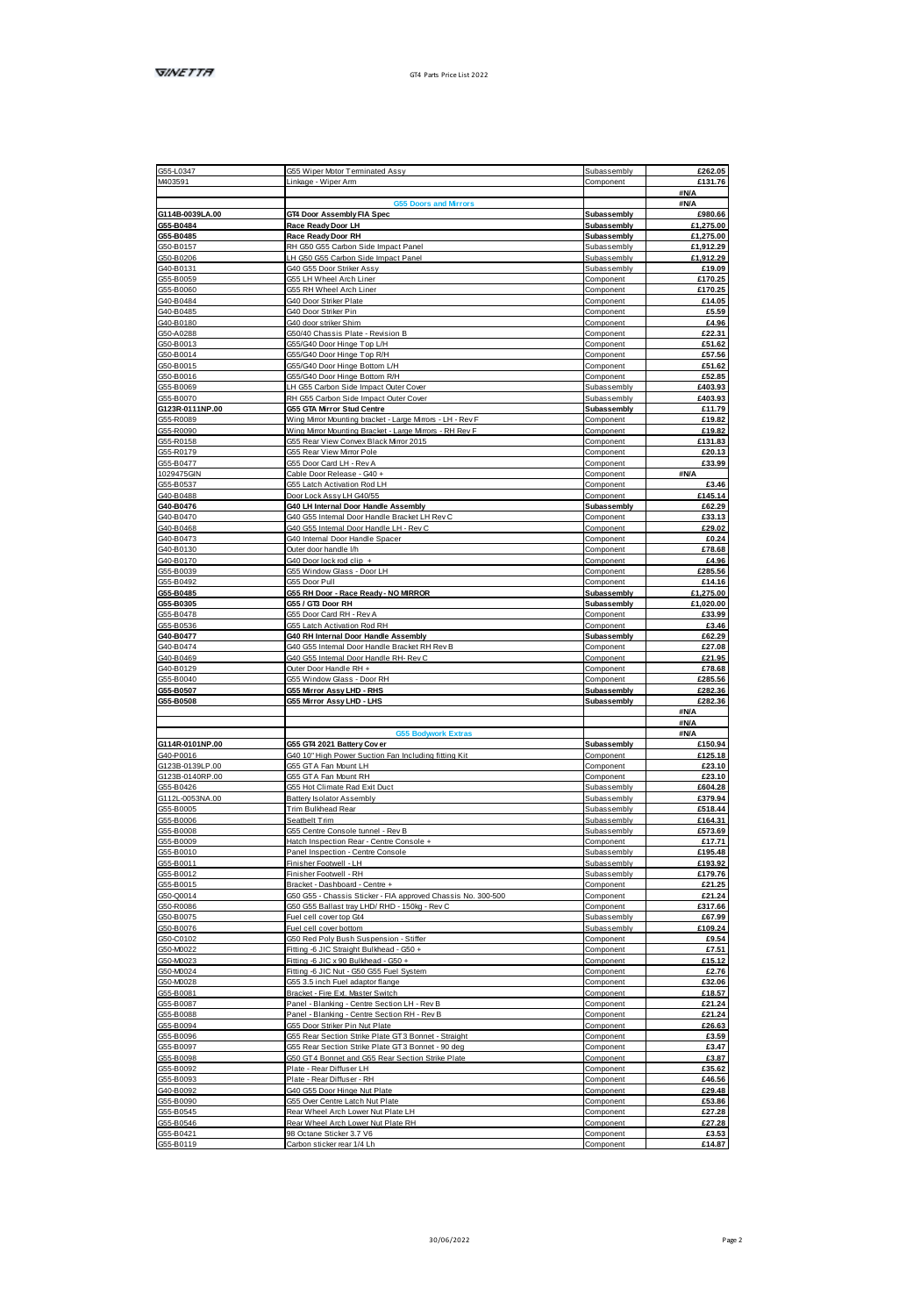| G55-L0347                    | GSS Wiper Motor Terminated Assy                                               |                            |                                                                                   |
|------------------------------|-------------------------------------------------------------------------------|----------------------------|-----------------------------------------------------------------------------------|
| M403591                      | Linkage - Wiper Arm                                                           | Compo                      | £131.76                                                                           |
|                              |                                                                               |                            | <b>BNA</b>                                                                        |
|                              |                                                                               |                            | <b>SN/A</b>                                                                       |
| G114B-0039LA.00              | GT4 Door Assembly FIA Spec                                                    | Subassembly                | £980.66                                                                           |
| G55-B0484<br>G55-B0485       | Race Ready Door LH<br>Race Ready Door RH                                      | Subassembly<br>Subassembly | £1,275.00<br>£1,275.00                                                            |
| G50-B0157                    | RH G50 G55 Carbon Side Impact Panel                                           | Subassembly                | £1.912.29                                                                         |
| GS0-B0206                    | LH G50 G55 Carbon Side Impact Panel                                           | Ruhassamhly                | #1 912 29                                                                         |
| G40-B0131                    | G40 G55 Door Striker Assy                                                     | Subassembly                | £19.09                                                                            |
| GS5-B0059                    | GSS LH Wheel Arch Liner                                                       | Component                  | £170.25                                                                           |
| GSS-R0080                    | GSS RH Wheel Arch Liner                                                       | Component                  | £170.25                                                                           |
| G40-B0484                    | G40 Door Striker Plate                                                        | Component                  | £14.05                                                                            |
| G40-R0485                    | G40 Door Striker Pin                                                          | Component                  | 65.59                                                                             |
| G40-B0180                    | G40 door striker Shim                                                         | Component                  | £4.96                                                                             |
| G50-A0288                    | G50/40 Chassis Plate - Revision B                                             | Component                  | £22.31                                                                            |
| GS0-B0013                    | GSS/G40 Door Hinge Top L/H                                                    | Component                  | <b>£51.62</b>                                                                     |
| G50-B0014                    |                                                                               |                            | £57.56                                                                            |
|                              | GSS/G40 Door Hinge Top R/H                                                    | Component                  |                                                                                   |
| G50-B0015<br>G50-B0016       | G55/G40 Door Hinge Bottom L/H<br>GSS/G40 Door Hinge Bottom R/H                | Component                  | £51.62<br>£52.85                                                                  |
|                              |                                                                               | Component                  |                                                                                   |
| GSS, R0065                   | LH G55 Carbon Side Impact Outer Cover                                         | Subassembly                | £403.93                                                                           |
| G55-B0070                    | RH G55 Carbon Side Impact Outer Cover                                         | Subassembly                | £403.93                                                                           |
| G123R-0111NP.00              | G55 GTA Mirror Stud Centre                                                    | Subassembly                | 611.79                                                                            |
| G55-R0089                    | Wing Mmor Mounting bracket - Large Mmors - LH - Rev F                         | Component                  | £19.82                                                                            |
| GSS-R0090                    | Wing Mitor Mounting Bracket - Large Mitrors - RH Rey F                        | Component                  | £19.82                                                                            |
| G55-R0158                    | G55 Rear View Convex Black Mmor 2015                                          | Component                  | £131.83                                                                           |
| GSS-R0179                    | G55 Rear View Mnor Pole                                                       | Component                  | £20.13                                                                            |
| G55-B0477                    | GSS Door Card LH - Rev A                                                      | Component                  | 633.99                                                                            |
| 1029475GIN                   | Cahle Door Release - G40 +                                                    | Component                  | <b>BMA</b>                                                                        |
| G55-B0537                    | G55 Latch Activation Rod LH                                                   | Component                  | £3.46                                                                             |
| G40-B0488                    | Door Lock Assy LH G40/55                                                      | Component                  | £145.14                                                                           |
| 040-R0476                    | G40 LH Internal Door Handle Assembly                                          | Subassembly                | F62.29                                                                            |
| G40-R0470                    | G40 G55 Internal Door Handle Bracket LH Rev C                                 | Component                  | 633.13                                                                            |
| G40-B0468                    | G40 G55 Internal Door Handle LH - Rev C                                       | Component                  | £29.02                                                                            |
| G40-B0473                    | G40 Internal Door Handle Spacer                                               | Component                  | £0.24                                                                             |
| G40-B0130                    | Outer door handle l/h                                                         | Component                  | <b>F78 68</b>                                                                     |
| G40-B0170                    | G40 Door lock rod clip                                                        | Component                  | £4.96                                                                             |
| G55-B0039                    | GSS Window Glass - Door LH                                                    | Component                  | £285.56                                                                           |
| G55-B0492                    | GSS Door Pull                                                                 | Component                  | £14.16                                                                            |
| G55-B0485                    | G55 RH Door - Race Ready - NO MRROR                                           | Subassembly                | £1,275.00                                                                         |
| G55-B0305                    | G55 / GT3 Door RH                                                             | Subassembly                | £1,020.00                                                                         |
| G55-B0478                    | G55 Door Card RH - Rev A                                                      | Component                  | £33.99                                                                            |
| G55-B0536                    | G55 Latch Activation Rod RH                                                   |                            |                                                                                   |
|                              |                                                                               | Component                  |                                                                                   |
| G40-R0477                    | 040 RH Internal Door Handle Assembly                                          | Subassembly                |                                                                                   |
| G40-B0474                    | G40 G55 Internal Door Handle Bracket RH Rev B                                 | Component                  |                                                                                   |
| G40-B0469                    | G40 G55 Internal Door Handle RH- Rev C                                        | Component                  |                                                                                   |
| G40-B0129                    | Duter Door Handle RH +                                                        | Component                  |                                                                                   |
| GSS-R0040                    | GSS Window Glass - Door RH                                                    | Component                  |                                                                                   |
| G55-B0507                    | G55 Mirror Assy LHD - RHS                                                     | Subassembly                |                                                                                   |
| G55-B0508                    |                                                                               | Subassembly                | £3.46<br>F62.29<br>£27.08<br>£21.95<br><b>F78 68</b><br><b>6285 56</b><br>£282.36 |
|                              | G55 Mirror AssyLHD - LHS                                                      |                            | £282.36<br><b>ANIA</b>                                                            |
|                              |                                                                               |                            | <b>SN/A</b>                                                                       |
|                              |                                                                               |                            | <b>SNA</b>                                                                        |
| G114R-0101NP.00              | G55 GT4 2021 Battery Cover                                                    | Subassembly                | £150.94                                                                           |
| G40-P0016                    |                                                                               | Component                  |                                                                                   |
|                              | G40 10" High Power Suction Fan Including fitting Kit                          |                            |                                                                                   |
| G123B-0139LP.00              | GSS GTA Fan Mount LH                                                          | Component                  | £125.18<br>£23.10                                                                 |
| G123B-0140RP.00              | GSS GTA Fan Mount RH                                                          | Component                  | £23.10                                                                            |
| GS5-B0426<br>G112L-0053NA.00 | G55 Hot Climate Rad Exit Duct<br>Battery Isolator Assembly                    | Subassembly<br>Subassembly | £604.28<br>£379.94                                                                |
|                              |                                                                               |                            |                                                                                   |
| G55-B0005<br>G55-B0006       | Trim Bulkhead Rear<br>Seatbelt Trim                                           | Subassembly<br>Subassembly |                                                                                   |
|                              |                                                                               |                            |                                                                                   |
| GS5-B0008<br>GSS-R0009       | G55 Centre Console tunnel - Rev B<br>Hatch Inspection Rear - Centre Console + | Subassembly<br>Component   |                                                                                   |
|                              |                                                                               |                            |                                                                                   |
| G55-B0010                    | Panel Inspection - Centre Console                                             | Subassembly                |                                                                                   |
| GS5-B0011                    | Finisher Footwell - LH                                                        | Subassembly                | £518.44<br>£164.31<br>£573.69<br>61771<br>£195.48<br>£193.92<br>6179.76           |
| GSS-R0012<br>GSS-R0015       | Finisher Footwell - RH<br>Rignlet - Dashhnart - Centre +                      | Subassembly<br>Component   |                                                                                   |
|                              |                                                                               |                            | £21.25                                                                            |
| G50-Q0014                    | G50 G55 - Chassis Sticker - FIA approved Chassis No. 300-500                  | Component                  | £21.24                                                                            |
| G50-R0086                    | G50 G55 Ballast tray LHD/RHD - 150kg - Rev C                                  | Component                  |                                                                                   |
| GS0-B0075                    | Fuel cell cover top Gt4                                                       | Subassembly                |                                                                                   |
| GS0-B0076                    | Fuel cell cover bottom                                                        | Subassembly                |                                                                                   |
| G50-C0102                    | G50 Red Poly Bush Suspension - Stiffe                                         | Component                  |                                                                                   |
| G50-M0022                    | Fitting 6 JIC Straight Bulkhead - G50 +                                       | Component                  | £317.66<br>667.99<br>£109.24<br>£9.54<br>£7.51                                    |
| G50-M0023                    | Fitting 6 JIC x 90 Bulkhead - G50 +                                           | Component                  | £15.12                                                                            |
| G50-M0024                    | Fitting 6 JIC Nut - G50 G55 Fuel System                                       | Component                  | 62.76                                                                             |
| G50-M0028                    | G55 3.5 inch Fuel adaptor flange                                              | Component                  | £32.06                                                                            |
| G55-B0081                    | Bracket - Fire Ext. Master Switch                                             | Component                  | £18.57                                                                            |
| G55-B0087                    | Panel - Blanking - Centre Section LH - Rev B                                  | Component                  | £21.24                                                                            |
| G55-B0088                    | Panel - Blanking - Centre Section RH - Rev B                                  | Component                  | £21.24                                                                            |
| G55-B0094                    | GSS Door Striker Pin Nut Plate                                                | Componen                   |                                                                                   |
| GS5-B0096                    | G55 Rear Section Strike Plate GT3 Bonnet - Straight                           | Component                  |                                                                                   |
| GSS, R0097                   | GSS Rear Section Strike Plate GT3 Bonnet - 90 den                             | Component                  |                                                                                   |
|                              | G50 GT4 Bonnet and G55 Rear Section Strike Plate                              | Component                  |                                                                                   |
| G55-B0098<br>GS5-B0092       | Plate - Rear Diffuser LH                                                      | Component                  | £26.63<br>£3.59<br>63.47<br>£3.87<br>£35.62                                       |
| GS5-B0093                    | Plate - Rear Diffuser - RH                                                    | Component                  |                                                                                   |
| G40-B0092                    | G40 G55 Door Hinge Nut Plate                                                  | Component                  |                                                                                   |
| GSS.R0090                    | GSS Over Centre Latch Nut Plate                                               | Component                  |                                                                                   |
| GS5-B0545                    |                                                                               |                            |                                                                                   |
| G55-B0546                    | Rear Wheel Arch Lower Nut Plate LH<br>Rear Wheel Arch Lower Nut Plate RH      | Component                  | <b>F48.56</b><br>£29.48<br>£53.86<br>£27.28<br>£27.28                             |
| GSS.R0421                    | 98 Octane Sticker 3.7 V6                                                      | Component<br>Component     | £3.53                                                                             |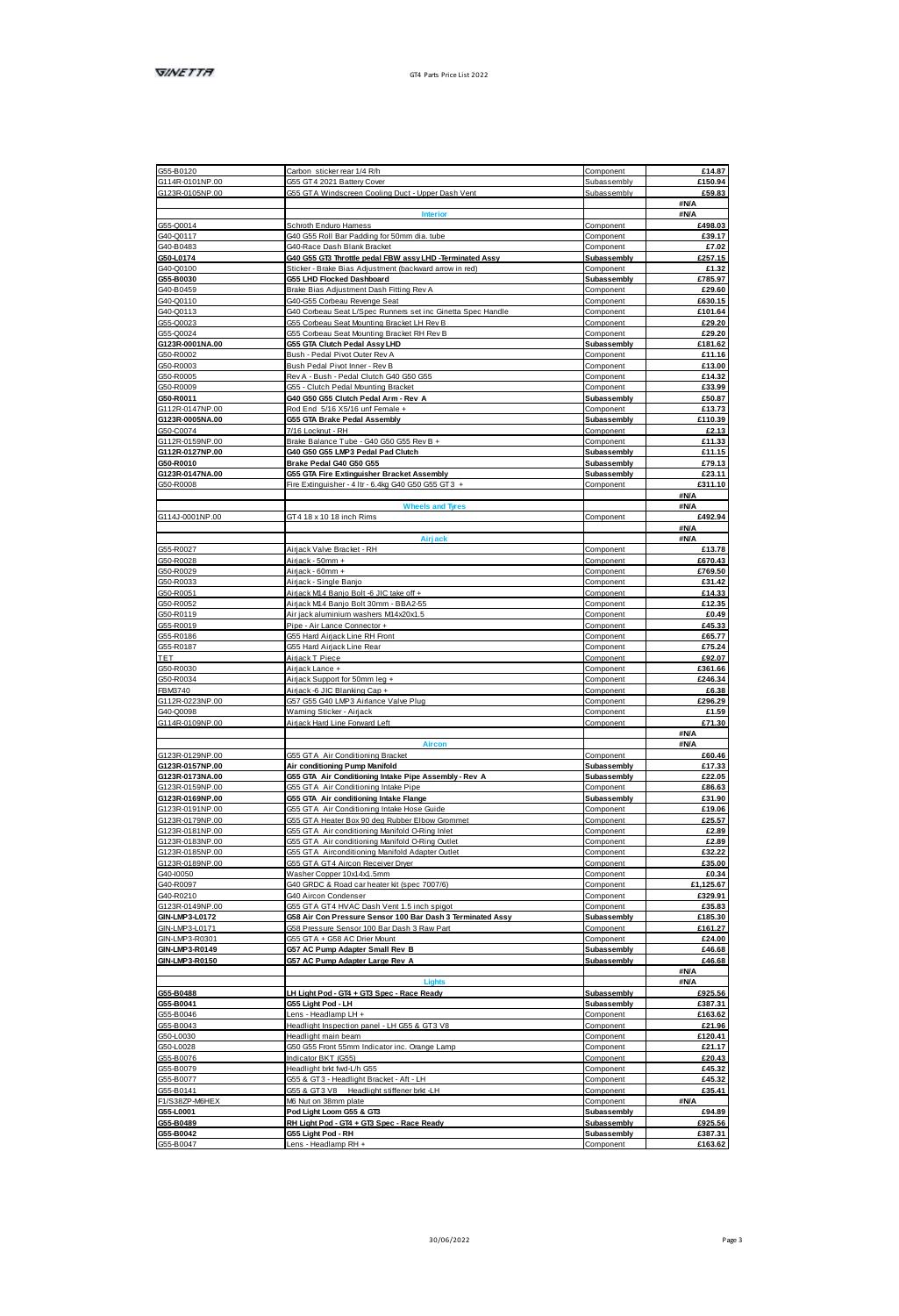| G55-B0120<br>G114R-0101NP.00<br>G123R-0105NP.00                                                                                                                                                                                                                                                                                                                                                                | Carbon sticker rear 1/4 R/h                                                                       | Component                  | £14.87             |
|----------------------------------------------------------------------------------------------------------------------------------------------------------------------------------------------------------------------------------------------------------------------------------------------------------------------------------------------------------------------------------------------------------------|---------------------------------------------------------------------------------------------------|----------------------------|--------------------|
|                                                                                                                                                                                                                                                                                                                                                                                                                | GSS GT4 2021 Battery Cover                                                                        | <b>Subassembly</b>         | £150.94            |
|                                                                                                                                                                                                                                                                                                                                                                                                                | G55 GTA Windscreen Cooling Duct - Upper Dash Vent                                                 | Subassembly                | £59.83             |
|                                                                                                                                                                                                                                                                                                                                                                                                                |                                                                                                   |                            | <b>#N/A</b>        |
|                                                                                                                                                                                                                                                                                                                                                                                                                | Interior                                                                                          |                            | <b>SN/A</b>        |
|                                                                                                                                                                                                                                                                                                                                                                                                                | Schroth Enduro Hamess                                                                             | Component                  | £498.03            |
|                                                                                                                                                                                                                                                                                                                                                                                                                | G40 G55 Roll Bar Padding for 50mm dia. tube                                                       | Component                  | £39.17             |
|                                                                                                                                                                                                                                                                                                                                                                                                                | G40-Race Dash Blank Bracket                                                                       | Component                  | £7.02<br>£257.15   |
| 055-00014<br>040-00117<br>040-00103<br>050-00100<br>055-00030<br>040-00110<br>040-00110<br>040-00110<br>040-00110                                                                                                                                                                                                                                                                                              | G40 G55 GT3 Throttle pedal FBW assy LHD -Terminated Assy                                          | Subassembly                |                    |
|                                                                                                                                                                                                                                                                                                                                                                                                                | Sticker - Brake Bias Adjustment (backward arrow in red)<br>G55 LHD Flocked Dashboard              | Component<br>Subassembly   | £1.32<br>£785.97   |
|                                                                                                                                                                                                                                                                                                                                                                                                                | Brake Bias Adiustment Dash Fitting Rev A                                                          | Component                  | £29.60             |
|                                                                                                                                                                                                                                                                                                                                                                                                                | G40-G55 Corbeau Revenge Seat                                                                      | Component                  | £630.15            |
|                                                                                                                                                                                                                                                                                                                                                                                                                | G40 Corbeau Seat L/Spec Runners set inc Ginetta Spec Handle                                       | Component                  | <b>£10164</b>      |
|                                                                                                                                                                                                                                                                                                                                                                                                                | G55 Corbeau Seat Mounting Bracket LH Rev B                                                        | Component                  | £29.20             |
| 055-00023<br>055-00023<br>055-00024<br>0123R-0001NA.00                                                                                                                                                                                                                                                                                                                                                         | G55 Corbeau Seat Mounting Bracket RH Rev B                                                        | Component                  | £29.20             |
|                                                                                                                                                                                                                                                                                                                                                                                                                | G55 GTA Clutch Pedal Assy LHD                                                                     | Subassembly                | £181.62            |
|                                                                                                                                                                                                                                                                                                                                                                                                                | Bush - Pedal Pivot Quter Rev A                                                                    | Component                  | £11.16             |
| G50-R0003<br>G50-R0005                                                                                                                                                                                                                                                                                                                                                                                         | Bush Pedal Pivot Inner - Rev B                                                                    | Component                  | £13.00             |
|                                                                                                                                                                                                                                                                                                                                                                                                                | Rev & - Rush - Pedal Clinch G40 G50 G55                                                           | Component                  | £14.32             |
| G50-R0009<br>G50-R0011                                                                                                                                                                                                                                                                                                                                                                                         | - Clutch Pedal Mounting Bracks                                                                    | Compon                     | £33.99             |
|                                                                                                                                                                                                                                                                                                                                                                                                                | G40 G50 G55 Clutch Pedal Arm - Rev A                                                              | Subassembly                | £50.87             |
| G312R0147NP.00<br>G123R0005NA.00<br>G50-C0074                                                                                                                                                                                                                                                                                                                                                                  | Rod Fod, 5/18 X5/18 unt Famala +                                                                  | Component                  | £13.73             |
|                                                                                                                                                                                                                                                                                                                                                                                                                | G55 GTA Brake Pedal Assembly                                                                      | Subassembly                | £110.39            |
|                                                                                                                                                                                                                                                                                                                                                                                                                | 7/16 Lockhut - RH                                                                                 | Component                  | £2.13              |
|                                                                                                                                                                                                                                                                                                                                                                                                                | Brake Balance Tube - G40 G50 G55 Rev B +                                                          | Component                  | £11.33             |
|                                                                                                                                                                                                                                                                                                                                                                                                                | G40 G50 G55 LMP3 Pedal Pad Clutch<br>Brake Pedal G40 G50 G55                                      | Subassembly<br>Subassembly | £11.15<br>£79.13   |
|                                                                                                                                                                                                                                                                                                                                                                                                                | G55 GTA Fire Extinguisher Bracket Assembly                                                        | Subassembly                | £23.11             |
| GSD-C3074<br>G112R-0159NP.00<br>G112R-0127NP.00<br>GSD-R0010<br>GSD-R0008                                                                                                                                                                                                                                                                                                                                      | Fire Extinguisher - 4 ltr - 6.4kg G40 G50 G55 GT3                                                 | Component                  | £311.10            |
|                                                                                                                                                                                                                                                                                                                                                                                                                |                                                                                                   |                            | <b>SN/A</b>        |
|                                                                                                                                                                                                                                                                                                                                                                                                                |                                                                                                   |                            | <b>#N/A</b>        |
| G114J-0001NP.00                                                                                                                                                                                                                                                                                                                                                                                                | GT4 18 x 10 18 inch Rims                                                                          | Component                  | £492.94            |
|                                                                                                                                                                                                                                                                                                                                                                                                                |                                                                                                   |                            | <b>BN/A</b>        |
|                                                                                                                                                                                                                                                                                                                                                                                                                | ale:                                                                                              |                            | <b>#N/A</b>        |
|                                                                                                                                                                                                                                                                                                                                                                                                                | Airlack Valve Bracket - RH                                                                        | Component                  | £13.78             |
|                                                                                                                                                                                                                                                                                                                                                                                                                | Airlank - 50mm +                                                                                  | Component                  | <b>F670.43</b>     |
|                                                                                                                                                                                                                                                                                                                                                                                                                | Airiack - 60mm +                                                                                  | Component                  | £769.50            |
|                                                                                                                                                                                                                                                                                                                                                                                                                | Airjack - Single Banjo                                                                            | Component                  | £31.42             |
|                                                                                                                                                                                                                                                                                                                                                                                                                | Airliamk M14 Ronin Rolf .R. IIIC toke off a                                                       | Component                  | 614.33             |
|                                                                                                                                                                                                                                                                                                                                                                                                                | Airjack M14 Banjo Bolt 30mm - BBA2-55                                                             | Component                  | £12.35             |
| G55-R0027<br>G50-R0028<br>G50-R0029<br>G50-R0051<br>G50-R0052<br>G50-R0052<br>G50-R0052                                                                                                                                                                                                                                                                                                                        | Air iack aluminium washers M14x20x1.5                                                             | Component                  | £0.49              |
|                                                                                                                                                                                                                                                                                                                                                                                                                | Pipe - Air Lance Connector +                                                                      | Component<br>Component     | £45.33<br>665.77   |
|                                                                                                                                                                                                                                                                                                                                                                                                                | G55 Hard Airjack Line RH Front<br>G55 Hard Airjack Line Rear                                      | Component                  | £75.24             |
|                                                                                                                                                                                                                                                                                                                                                                                                                | Airiack T Piece                                                                                   | Component                  | £92.07             |
| G50-R0119<br>G55-R0019<br>G55-R0188<br>G56-R0187<br>C50-R0030<br>G50-R0034                                                                                                                                                                                                                                                                                                                                     | Airiack Lance +                                                                                   | Component                  | <b>F361 66</b>     |
|                                                                                                                                                                                                                                                                                                                                                                                                                | Airjack Support for 50mm leg +                                                                    | Component                  | £246.34            |
|                                                                                                                                                                                                                                                                                                                                                                                                                | Litjack-6 JIC Blanking Cap +                                                                      | Component                  | £6.38              |
| FBMS740<br>G112R-0223NP.00<br>G40-Q0098<br>G114R-0109NP.00                                                                                                                                                                                                                                                                                                                                                     | G57 G55 G40 LMP3 Airlance Valve Plug                                                              | Component                  | £296.29            |
|                                                                                                                                                                                                                                                                                                                                                                                                                | Waming Sticker - Airfack                                                                          | Component                  | £1.59              |
|                                                                                                                                                                                                                                                                                                                                                                                                                | Airjack Hard Line Forward Left                                                                    | Component                  | £71.30             |
|                                                                                                                                                                                                                                                                                                                                                                                                                |                                                                                                   |                            | <b>#N/A</b>        |
|                                                                                                                                                                                                                                                                                                                                                                                                                | Aire                                                                                              |                            | <b>BMA</b>         |
|                                                                                                                                                                                                                                                                                                                                                                                                                | G55 GTA Air Conditioning Bracket                                                                  | Component                  | £60.46             |
| G123R-0129NP.00<br>G123R-0157NP.00<br>G123R-0173NA.00<br>G123R-0159NP.00                                                                                                                                                                                                                                                                                                                                       | Air conditioning Pump Manifold                                                                    | Subassembly                | £17.33             |
|                                                                                                                                                                                                                                                                                                                                                                                                                | G55 GTA Air Conditioning Intake Pipe Assembly - Rev. A                                            | <b>Subassembly</b>         | 622.05             |
|                                                                                                                                                                                                                                                                                                                                                                                                                | G55 GTA Air Conditioning Intake Pipe                                                              | Component                  | £86.63             |
| G123R-0169NP.00                                                                                                                                                                                                                                                                                                                                                                                                | G55 GTA Air conditioning Intake Flange                                                            | Subassembly                | £31.90             |
|                                                                                                                                                                                                                                                                                                                                                                                                                | G55 GTA Air Conditioning Intake Hose Guide<br>G55 GTA Heater Box 90 deg Rubber Elbow Grommet      | Component<br>Component     | £19.06<br>£25.57   |
|                                                                                                                                                                                                                                                                                                                                                                                                                |                                                                                                   | Component                  | £2.89              |
|                                                                                                                                                                                                                                                                                                                                                                                                                | G55 GTA Air conditioning Manifold O-Ring Inlet<br>355 GTA Air conditioning Manifold O-Ring Outlet | Component                  | £2.89              |
|                                                                                                                                                                                                                                                                                                                                                                                                                | GSS GTA Airconditioning Manifold Adapter Outlet                                                   | Component                  | 632.22             |
|                                                                                                                                                                                                                                                                                                                                                                                                                | GSS GTA GT4 Aircon Receiver Diver                                                                 | Component                  | £35.00             |
|                                                                                                                                                                                                                                                                                                                                                                                                                | Washer Copper 10x14x1.5mm                                                                         | Component                  | £0.34              |
|                                                                                                                                                                                                                                                                                                                                                                                                                | G40 GRDC & Road car heater kit (spec 7007/6)                                                      | Component                  | £1.125.67          |
|                                                                                                                                                                                                                                                                                                                                                                                                                | G40 Aircon Condenser                                                                              | Component                  | £329.91            |
|                                                                                                                                                                                                                                                                                                                                                                                                                | GSS GTA GT4 HVAC Dash Vent 1.5 inch spigot                                                        | Component                  | £35.83             |
|                                                                                                                                                                                                                                                                                                                                                                                                                | G58 Air Con Pressure Sensor 100 Bar Dash 3 Terminated Assy                                        | Subassembly                | £185.30            |
|                                                                                                                                                                                                                                                                                                                                                                                                                | G58 Pressure Sensor 100 Bar Dash 3 Raw Part                                                       | Component                  | <b>£161.27</b>     |
| $\begin{array}{l@{\hspace{5mm}}l@{\hspace{5mm}}l@{\hspace{5mm}}l@{\hspace{5mm}}l@{\hspace{5mm}}l@{\hspace{5mm}}l@{\hspace{5mm}}l@{\hspace{5mm}}l@{\hspace{5mm}}l@{\hspace{5mm}}l@{\hspace{5mm}}l@{\hspace{5mm}}l@{\hspace{5mm}}l@{\hspace{5mm}}l@{\hspace{5mm}}l@{\hspace{5mm}}l@{\hspace{5mm}}l@{\hspace{5mm}}l@{\hspace{5mm}}l@{\hspace{5mm}}l@{\hspace{5mm}}l@{\hspace{5mm}}l@{\hspace{5mm}}l@{\hspace{5mm$ | G55 GTA + G58 AC Drier Mount                                                                      | Component                  | £24.00             |
|                                                                                                                                                                                                                                                                                                                                                                                                                | G57 AC Pump Adapter Small Rev B<br>G57 AC Pump Adapter Large Rev A                                | Subassembly                | £46,68<br>£46.68   |
|                                                                                                                                                                                                                                                                                                                                                                                                                |                                                                                                   |                            |                    |
|                                                                                                                                                                                                                                                                                                                                                                                                                |                                                                                                   | Subassembly                |                    |
|                                                                                                                                                                                                                                                                                                                                                                                                                |                                                                                                   |                            | #N/A               |
|                                                                                                                                                                                                                                                                                                                                                                                                                | <b>Linked</b>                                                                                     |                            | <b>BN/A</b>        |
|                                                                                                                                                                                                                                                                                                                                                                                                                | H Light Pod - GT4 + GT3 Spec - Race Ready<br>G55 Light Pod - LH                                   | Subassembly<br>Subassembly | £925.56<br>£387.31 |
|                                                                                                                                                                                                                                                                                                                                                                                                                |                                                                                                   | Component                  |                    |
|                                                                                                                                                                                                                                                                                                                                                                                                                | Lens - Headlamp LH +                                                                              | Component                  | £163.62<br>£21.96  |
|                                                                                                                                                                                                                                                                                                                                                                                                                | leadlight Inspection panel - LH G55 & GT3 V8<br>Headlight main beam                               | Component                  | £120.41            |
|                                                                                                                                                                                                                                                                                                                                                                                                                | G50 G55 Front 55mm Indicator inc. Orange Lamp                                                     | Component                  | 621 17             |
|                                                                                                                                                                                                                                                                                                                                                                                                                | ndicator BKT (GSS)                                                                                | Component                  | £20.43             |
|                                                                                                                                                                                                                                                                                                                                                                                                                | Headlight brid fwd-L/h GSS                                                                        | Component                  | £45.32             |
|                                                                                                                                                                                                                                                                                                                                                                                                                | GSS & GT3 - Headlight Bracket - Aft - LH                                                          | Component                  | £45.32             |
|                                                                                                                                                                                                                                                                                                                                                                                                                | G55 & GT3 V8 Headlight stiffener brid -LH                                                         | Component                  | £35.41             |
| 055-B0488<br>055-B0041<br>GSS-B0046                                                                                                                                                                                                                                                                                                                                                                            | M6 Nut on 38mm plate                                                                              | Component                  | <b>#N/A</b>        |
| 055-80046<br>055-80043<br>056-00030<br>056-00078<br>055-80079<br>055-80077<br>FAS-000141<br>FAS-000141<br>FAS-000141<br>FAS-0001                                                                                                                                                                                                                                                                               | Pod Light Loom G55 & GT3                                                                          | Subassembly                | £94.89             |
| 055-L0001<br>055-B0489                                                                                                                                                                                                                                                                                                                                                                                         | RH Light Pod - GT4 + GT3 Spec - Race Ready                                                        | Subassembly                | £925.56            |
| 055-B0042<br>GSS-B0047                                                                                                                                                                                                                                                                                                                                                                                         | G55 Light Pod - RH<br>Lens - Headlamp RH +                                                        | Subassembly<br>Component   | £387.31<br>£163.62 |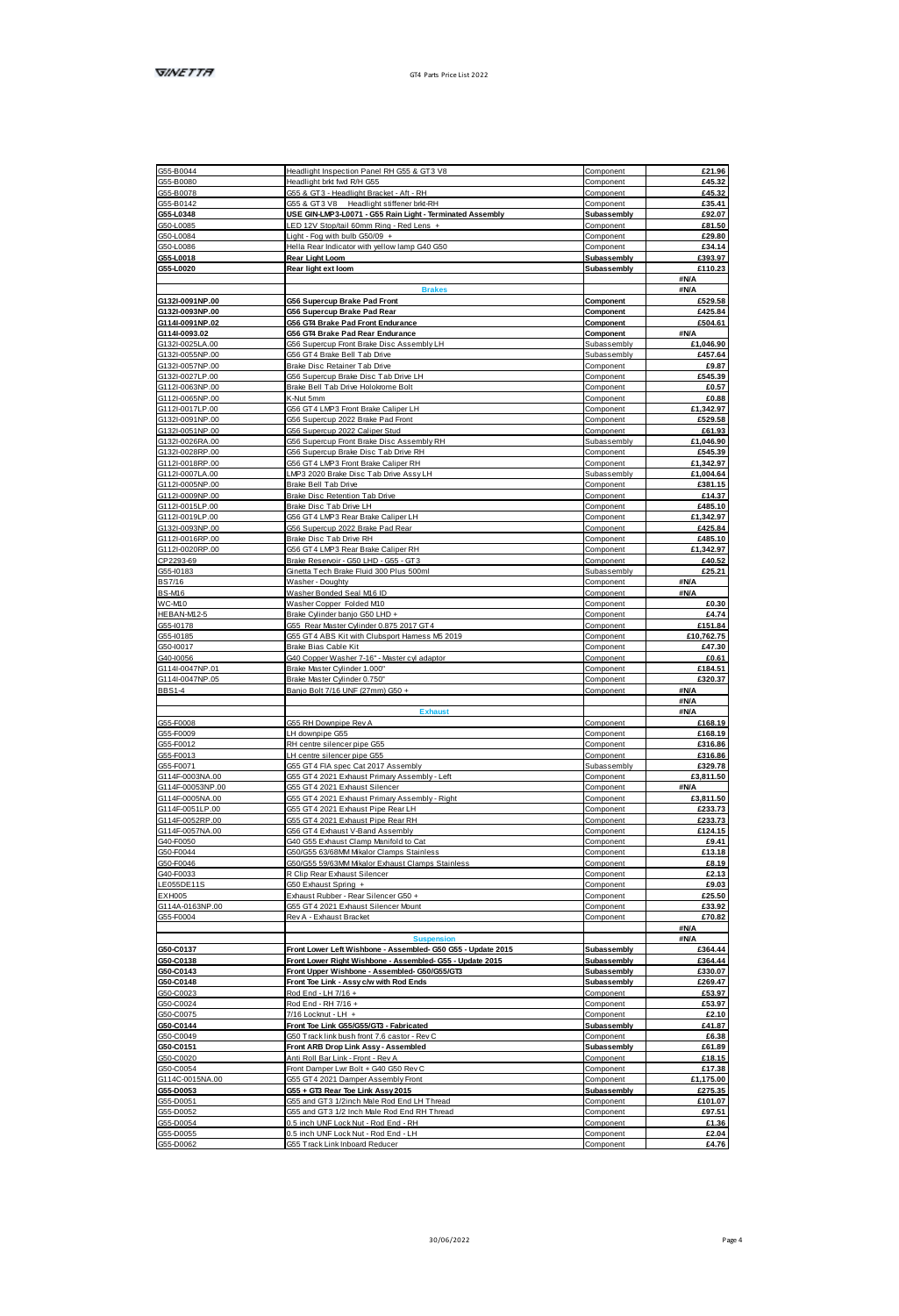|                                           | Headlight Inspection Panel RH G55 & GT3 V8                                   | Component                  | £21.96                                                                                                                                                                                |
|-------------------------------------------|------------------------------------------------------------------------------|----------------------------|---------------------------------------------------------------------------------------------------------------------------------------------------------------------------------------|
| G55-B0080                                 | Headlight brid fwd R/H G55                                                   | Component                  | £45.32                                                                                                                                                                                |
| GSS.R0078                                 | GSS & GT3 - Headlight Reacket - Aft - RH                                     | Component                  | 645.32                                                                                                                                                                                |
| G55-B0142                                 | GSS & GT3 V8<br>Headlight stiffener brid-RH                                  | Component                  | £35.41                                                                                                                                                                                |
| G55-L0348                                 | USE GIN-LMP3-L0071 - G55 Rain Light - Terminated Assembly                    | Subassembly                | £92.07                                                                                                                                                                                |
| GS0J 0085                                 | FD 12V Stonball ROmm Rinn - Red Lens +                                       | Component                  | <b>FR1.50</b>                                                                                                                                                                         |
| GS0J 0084                                 | Light - Fog with bulb G50/09 +                                               | Component                  | £29.80                                                                                                                                                                                |
| G50-L0086                                 | Hella Rear Indicator with yellow lamp G40 G50                                | Component                  | £34.14                                                                                                                                                                                |
| G55-L0018                                 | Rear Light Loom                                                              | Subassembly                | £393.97                                                                                                                                                                               |
| 05540020                                  | Rear light ext loom                                                          | Subassembly                | £110.23                                                                                                                                                                               |
|                                           |                                                                              |                            | <b>SN/A</b>                                                                                                                                                                           |
|                                           |                                                                              |                            | <b>SNA</b>                                                                                                                                                                            |
| G132I-0091NP.00                           | G56 Supercup Brake Pad Front                                                 | Component                  | £529.58                                                                                                                                                                               |
| G132I-0093NP.00                           | G56 Supercup Brake Pad Rear                                                  | Component                  | £425.84                                                                                                                                                                               |
| G1141-0091NP.02                           | G56 GT4 Brake Pad Front Endurance                                            | Component                  | £504.61                                                                                                                                                                               |
| G1141-0093.02                             | G56 GT4 Brake Pad Rear Endurance                                             | Component                  | <b>BNA</b>                                                                                                                                                                            |
| G132I-0025LA.00                           | G56 Supercup Front Brake Disc Assembly LH                                    | Subassembly                | £1.046.90                                                                                                                                                                             |
| G132L0055NP.00                            | GS6 GT4 Brake Bell Tah Drive                                                 | Subassembly                | <b>FAST RA</b>                                                                                                                                                                        |
| G132I-0057NP.00                           | Brake Disc Retainer Tab Drive                                                | Component                  | £9.87                                                                                                                                                                                 |
| G132I-0027LP.00                           | G56 Supercup Brake Disc Tab Drive LH                                         | Component                  | £545.39                                                                                                                                                                               |
| G112L0063NP.00                            | Rigie Rell Tah Drive Hololenme Rolf                                          | Component                  | 60.57                                                                                                                                                                                 |
| G112L0065NP.00                            | K Akit Smm                                                                   | Component                  | <b>FO 88</b>                                                                                                                                                                          |
| G1121-0017LP.00                           | G56 GT4 LMP3 Front Brake Caliper LH                                          | Component                  | £1,342.97                                                                                                                                                                             |
| G132I-0091NP.00                           | G56 Supercup 2022 Brake Pad Front                                            | Component                  | £529.58                                                                                                                                                                               |
| G132L0051NP.00                            | GSB Sungmun 2022 Caliner Stud                                                | Component                  | <b>FR1 93</b>                                                                                                                                                                         |
|                                           |                                                                              |                            |                                                                                                                                                                                       |
| G132I-0026RA.00                           | G56 Supercup Front Brake Disc Assembly RH                                    | Subassembly                | £1.046.90                                                                                                                                                                             |
| G1321-0028RP.00                           | G56 Supercup Brake Disc Tab Drive RH                                         | Component                  | £545.39                                                                                                                                                                               |
| G112I-0018RP.00                           | G56 GT4 LMP3 Front Brake Caliper RH                                          | Component                  | £1,342.97                                                                                                                                                                             |
| G1121-0007LA.00                           | LMP3 2020 Brake Disc Tab Drive Assy LH                                       | Subassembly                | £1,004.64                                                                                                                                                                             |
| G112I-0005NP.00                           | Brake Bell Tab Drive                                                         | Component                  | £381.15                                                                                                                                                                               |
| G112I-0009NP.00                           | Brake Disc Retention Tab Drive                                               | Component                  | £14.37                                                                                                                                                                                |
| G112I-0015LP.00                           | Brake Disc Tab Drive LH                                                      | Component                  | £485.10                                                                                                                                                                               |
| G1121-0019LP.00                           | G56 GT4 LMP3 Rear Brake Caliper LH                                           | Component                  | £1,342.97                                                                                                                                                                             |
| G132I-0093NP.00                           | G56 Supercup 2022 Brake Pad Rea                                              | Component                  | £425.84                                                                                                                                                                               |
| G112I-0016RP.00                           | Brake Disc Tab Drive RH                                                      | Component                  | £485.10                                                                                                                                                                               |
| G112I-0020RP.00                           | G56 GT4 LMP3 Rear Brake Caliper RH                                           | Component                  | £1,342.97                                                                                                                                                                             |
| CP2203-89                                 | Rigile Reservir - GS0 LHD - GSS - GT3                                        | Component                  | £40.52                                                                                                                                                                                |
|                                           |                                                                              |                            |                                                                                                                                                                                       |
| G55-10183                                 | Ginetta Tech Brake Ruid 300 Plus 500ml                                       | Subassembly                | £25.21                                                                                                                                                                                |
| <b>BS7/16</b>                             | Washer - Doughty                                                             | Component                  | <b>BNA</b>                                                                                                                                                                            |
| <b>BSAM6</b>                              | Washer Rooded Seal MtR ID                                                    | Component                  | <b>BN/A</b>                                                                                                                                                                           |
| <b>WCARO</b>                              | Washer Copper Folded M10                                                     | Component                  | £0.30                                                                                                                                                                                 |
| HEBAN-M12-5                               | Brake Cylinder banio G50 LHD +                                               | Component                  | £4.74                                                                                                                                                                                 |
| G55-I0178                                 | G55 Rear Master Cylinder 0.875 2017 GT4                                      | Component                  | £151.84                                                                                                                                                                               |
| G55-10185                                 | G55 GT4 ABS Kit with Clubsport Harness M5 2019                               | Component                  | £10.762.75                                                                                                                                                                            |
| G50-10017                                 | Brake Bias Cable Kit                                                         | Component                  | £47.30                                                                                                                                                                                |
| G40-I0056                                 | G40 Copper Washer 7-16" - Master cyl adaptor                                 | Component                  | £0.61                                                                                                                                                                                 |
| G1141-0047NP.01                           | Brake Master Cylinder 1,000*                                                 | Component                  | £184.51                                                                                                                                                                               |
| G1141-0047NP.05                           | Brake Master Cylinder 0.750'                                                 | Component                  | £320.37                                                                                                                                                                               |
| BBS1-4                                    | Banjo Bolt 7/16 UNF (27mm) G50 +                                             | Component                  | <b>#N/A</b>                                                                                                                                                                           |
|                                           |                                                                              |                            | <b>BN/A</b>                                                                                                                                                                           |
|                                           |                                                                              |                            | <b>SNA</b>                                                                                                                                                                            |
| GSS, F0008                                | GSS RH Downning Roy &                                                        | Component                  | <b>£168.19</b>                                                                                                                                                                        |
|                                           |                                                                              |                            |                                                                                                                                                                                       |
|                                           |                                                                              |                            | £168.19                                                                                                                                                                               |
| G55-F0009                                 | LH downpipe G55                                                              | Component                  |                                                                                                                                                                                       |
| GSS-F0012                                 | RH centre silencer pipe G55                                                  | Component                  |                                                                                                                                                                                       |
| GSS.R0013                                 | LH centre silencer pipe G55                                                  | Component                  |                                                                                                                                                                                       |
| GSS-F0071                                 | GSS GT4 FIA spec Cat 2017 Assembly                                           | Subassembly                |                                                                                                                                                                                       |
| G114F-0003NA 00                           | G55 GT4 2021 Exhaust Primary Assembly - Left                                 | Component                  |                                                                                                                                                                                       |
| G114F-00053NP.00                          | G55 GT4 2021 Exhaust Silencer                                                | Component                  | £316,86<br><b>F316 86</b><br>£329.78<br>£3,811.50<br><b>SNA</b>                                                                                                                       |
| G114F-0005NA.00                           | GSS GT4 2021 Exhaust Primary Assembly - Right                                | Component                  | £3,811.50                                                                                                                                                                             |
| 3114F-0051LP 00                           |                                                                              | Component                  |                                                                                                                                                                                       |
| G114F-0052RP.00                           | G55 GT4 2021 Exhaust Pipe Rear LH<br>G55 GT4 2021 Exhaust Pipe Rear RH       | Component                  |                                                                                                                                                                                       |
|                                           |                                                                              |                            |                                                                                                                                                                                       |
| G114F-0057NA.00                           | G56 GT4 Exhaust V-Band Assembly                                              | Component                  |                                                                                                                                                                                       |
| G40-F0050                                 | G40 G55 Exhaust Clamp Manifold to Cat                                        | Component                  |                                                                                                                                                                                       |
| G50-F0044                                 | G50/G55 63/68MMMkalor Clamps Stainless                                       | Component                  |                                                                                                                                                                                       |
| G50-F0046                                 | G50/G55 59/63MM Mikalor Exhaust Clamps Stainless                             | Component                  |                                                                                                                                                                                       |
| G40-F0033                                 | R Clip Rear Exhaust Silencer                                                 | Component                  |                                                                                                                                                                                       |
| LE055DE11S                                | G50 Exhaust Soring +                                                         | Component                  | £233.73<br>£233.73<br>£124.15<br>£9.41<br>£13.18<br>£8.19<br>£2.13<br>69.03                                                                                                           |
| EXH005                                    | Exhaust Rubber - Rear Silencer G50 +                                         | Component                  |                                                                                                                                                                                       |
| G114A-0163NP.00                           | G55 GT4 2021 Exhaust Silencer Moun                                           | Component                  |                                                                                                                                                                                       |
| 355,80004                                 | Roy & - Eyhaust Rranket                                                      | Component                  |                                                                                                                                                                                       |
|                                           |                                                                              |                            | <b>ANIA</b>                                                                                                                                                                           |
|                                           |                                                                              |                            | £25.50<br>£33.92<br>£70.82<br><b>SNA</b>                                                                                                                                              |
| G50-C0137                                 | Front Lower Left Wishbone - Assembled- G50 G55 - Update 2015                 |                            |                                                                                                                                                                                       |
| G50-C0138                                 | Front Lower Right Wishbone - Assembled- G55 - Update 2015                    | Subassembly<br>Subassembly |                                                                                                                                                                                       |
|                                           |                                                                              |                            |                                                                                                                                                                                       |
|                                           | Front Upper Wishbone - Assembled- 050/055/0T3                                | Subassembly                |                                                                                                                                                                                       |
| G50-C0143<br>G50-C0148                    | Front Toe Link - Assy c/w with Rod Ends                                      | Subassembly                |                                                                                                                                                                                       |
| G50-C0023                                 | Rod End - LH 7/16 +                                                          | Component                  |                                                                                                                                                                                       |
| G50-C0024                                 | Rod End - RH 7/16 +                                                          | Component                  |                                                                                                                                                                                       |
| G50-C0075                                 | 7/16 Lockhut - LH +                                                          | Component                  |                                                                                                                                                                                       |
|                                           | Front Toe Link G55/G55/GT3 - Fabricated                                      | Subassembly                |                                                                                                                                                                                       |
|                                           | G50 Track link bush front 7.6 castor - Rev C                                 | Component                  |                                                                                                                                                                                       |
| G50-C0144<br>G50-C0049<br>G50-C0151       | Front ARB Drop Link Assy - Assembled                                         | Subassembly                |                                                                                                                                                                                       |
| G50-C0020                                 | Anti Roll Bar Link - Front - Rev A                                           | Component                  |                                                                                                                                                                                       |
|                                           | Front Damper Lwr Bolt + G40 G50 Rev C                                        | Component                  |                                                                                                                                                                                       |
|                                           |                                                                              |                            |                                                                                                                                                                                       |
|                                           | G55 GT4 2021 Damper Assembly Front                                           | Component                  |                                                                                                                                                                                       |
| G50-C0054<br>G114C-0015NA.00<br>055-00053 | G55 + GT3 Rear Toe Link Assy 2015                                            | Subassembly                |                                                                                                                                                                                       |
| GSS-D0051                                 | G55 and GT3 1/2inch Male Rod End LH Thread                                   | Component                  |                                                                                                                                                                                       |
|                                           | G55 and GT3 1/2 Inch Male Rod End RH Thread                                  | Component                  |                                                                                                                                                                                       |
| GSS-D0052<br>G55-D0054<br>GSS.D0055       | 0.5 inch UNF Lock Nut - Rod End - RH<br>0.5 inch UNF Lock Nut - Rod End - LH | Component<br>Component     | £364.44<br>£364.44<br>£330.07<br>£269.47<br>£53.97<br>£53.97<br>£2.10<br>£41.87<br>£6,38<br>£61.89<br>£18.15<br>£17.38<br>£1.175.00<br>6275.35<br>£101.07<br>£97.51<br>£1.36<br>£2.04 |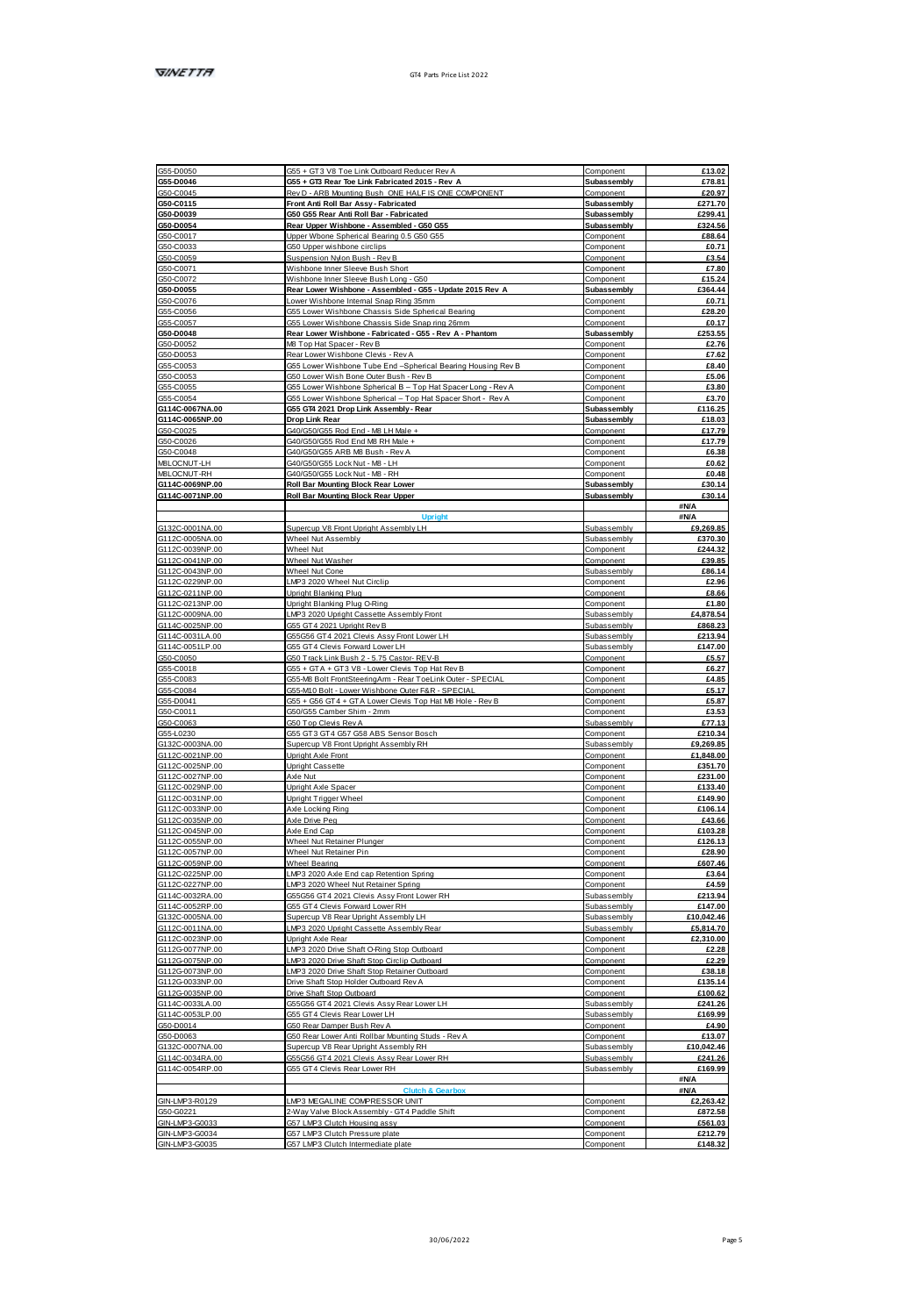| G55-D0050                                            | G55 + GT3 V8 Toe Link Outboard Reducer Rev A                                              | Component                       | £13.02                                                                                                                                                                                                                                                                                                                                                                                                                                                   |
|------------------------------------------------------|-------------------------------------------------------------------------------------------|---------------------------------|----------------------------------------------------------------------------------------------------------------------------------------------------------------------------------------------------------------------------------------------------------------------------------------------------------------------------------------------------------------------------------------------------------------------------------------------------------|
| G55-D0046                                            | G55 + GT3 Rear Toe Link Fabricated 2015 - Rev A                                           | Subassembly                     | £78.81                                                                                                                                                                                                                                                                                                                                                                                                                                                   |
| G50-C0045                                            | Rev D. ARR Mounting Bush, ONE HALF IS ONE COMPONENT                                       | Component                       | £20.97                                                                                                                                                                                                                                                                                                                                                                                                                                                   |
| G50-C0115                                            | Front Anti Roll Bar Assv - Fabricated                                                     | Subassembly                     | £271.70                                                                                                                                                                                                                                                                                                                                                                                                                                                  |
| G50-D0039                                            | G50 G55 Rear Anti Roll Bar - Fabricated                                                   | Subassembly                     | £299.41                                                                                                                                                                                                                                                                                                                                                                                                                                                  |
| G50-D0054                                            | Rear Upper Wishbone - Assembled - G50 G55                                                 | Subassembly                     | <b>6324.56</b>                                                                                                                                                                                                                                                                                                                                                                                                                                           |
| GS0-C0017                                            | Upper Wbone Spherical Bearing 0.5 G50 G55                                                 | Component                       | £88.64                                                                                                                                                                                                                                                                                                                                                                                                                                                   |
| G50-C0033<br>G50-C0059                               | G50 Upper wishbone circlips<br>Suspension Nylon Bush - Rev B                              | Component<br>Component          | £0.71<br>£3.54                                                                                                                                                                                                                                                                                                                                                                                                                                           |
| 650.00071                                            | Wishbone Inner Sleeve Bush Short                                                          | Component                       | £7.80                                                                                                                                                                                                                                                                                                                                                                                                                                                    |
| GS0-C0072                                            | Wishbone Inner Sleeve Bush Long - G50                                                     | Component                       | £15.24                                                                                                                                                                                                                                                                                                                                                                                                                                                   |
| G50-D0055                                            | Rear Lower Wishbone - Assembled - G55 - Update 2015 Rev A                                 | Subassembly                     | £364.44                                                                                                                                                                                                                                                                                                                                                                                                                                                  |
| G50-C0076                                            | Lower Wishbone Internal Snap Ring 35mm                                                    | Component                       | £0.71                                                                                                                                                                                                                                                                                                                                                                                                                                                    |
| G55-C0056                                            | G55 Lower Wishbone Chassis Side Scherical Bearing                                         | Component                       | £28.20                                                                                                                                                                                                                                                                                                                                                                                                                                                   |
| GS5-C0057                                            | G55 Lower Wishbone Chassis Side Snap ring 26mm                                            | Component                       | £0.17                                                                                                                                                                                                                                                                                                                                                                                                                                                    |
| G50-D0048                                            | Rear Lower Wishbone - Fabricated - G55 - Rev A - Phantom                                  | Subassembly                     | £253.55                                                                                                                                                                                                                                                                                                                                                                                                                                                  |
| G50-D0052                                            | M8 Top Hat Spacer - Rev B                                                                 | Component                       | £2.76                                                                                                                                                                                                                                                                                                                                                                                                                                                    |
| G50-D0053                                            | Rear Lower Wishhone Clevis - Rev &                                                        | Component                       | <b>47.62</b>                                                                                                                                                                                                                                                                                                                                                                                                                                             |
| G55-C0053                                            | G55 Lower Wishbone Tube End -Spherical Bearing Housing Rev B                              | Component                       | £8.40                                                                                                                                                                                                                                                                                                                                                                                                                                                    |
| G50-C0053                                            | G50 Lower Wish Bone Outer Bush - Rev B                                                    | Component                       | £5.06                                                                                                                                                                                                                                                                                                                                                                                                                                                    |
| 655,00055                                            | GSS Lower Wishhone Spherinal R  Ton Hat Snaner Long - Rev A                               | Component                       | 63.80                                                                                                                                                                                                                                                                                                                                                                                                                                                    |
| 055/00054                                            | G55 Lower Wishbone Spherical - Top Hat Spacer Short - Rev A                               | Component                       | 63.70                                                                                                                                                                                                                                                                                                                                                                                                                                                    |
| G114C-0067NA.00                                      | G55 GT4 2021 Drop Link Assembly - Rear                                                    | Subassembly                     | £116.25                                                                                                                                                                                                                                                                                                                                                                                                                                                  |
| G114C-0065NP.00                                      | Drop Link Rear                                                                            | Subassembly                     | £18.03                                                                                                                                                                                                                                                                                                                                                                                                                                                   |
| GS0-C0025                                            | GANGSO GSS Rod Fort - MR LH Male a                                                        | Component                       | £17.79                                                                                                                                                                                                                                                                                                                                                                                                                                                   |
| G50-C0026                                            | G40/G60/G55 Rod End M8 RH Male +                                                          | Component                       | £17.79                                                                                                                                                                                                                                                                                                                                                                                                                                                   |
| G50-C0048                                            | G40/G50/G55 ARB M8 Bush - Rev A                                                           | Component                       | £6,38                                                                                                                                                                                                                                                                                                                                                                                                                                                    |
| MRI OCNEITU H<br>M8LOCNUT-RH                         | G40/G50/G55 Lock Nut - MB - LH<br>G40/G50/G55 Lock Nut - MB - RH                          | Component                       | £0.62<br>£0.48                                                                                                                                                                                                                                                                                                                                                                                                                                           |
| G114C-0069NP.00                                      | Roll Bar Mounting Block Rear Lower                                                        | Component<br>Subassembly        | £30.14                                                                                                                                                                                                                                                                                                                                                                                                                                                   |
| G114C-0071NP.00                                      | Roll Bar Mounting Block Rear Uppe                                                         | Subassembly                     | £30.14                                                                                                                                                                                                                                                                                                                                                                                                                                                   |
|                                                      |                                                                                           |                                 | #N/A                                                                                                                                                                                                                                                                                                                                                                                                                                                     |
|                                                      |                                                                                           |                                 | #N/A                                                                                                                                                                                                                                                                                                                                                                                                                                                     |
| G132C-0001NA.00                                      | Supercup V8 Front Upright Assembly LH                                                     | Subassembly                     | £9,269.85                                                                                                                                                                                                                                                                                                                                                                                                                                                |
| G112C-0005NA.00                                      | Wheel Nut Assembly                                                                        | Subassembly                     | £370.30                                                                                                                                                                                                                                                                                                                                                                                                                                                  |
| G112C-0039NP.00                                      | Wheel Nut                                                                                 | Component                       | £244.32                                                                                                                                                                                                                                                                                                                                                                                                                                                  |
| G112C/0041NP 00                                      | Wheel Nie Washer                                                                          | Component                       | 639.85                                                                                                                                                                                                                                                                                                                                                                                                                                                   |
| G112C-0043NP.00                                      | Wheel Nut Cone                                                                            | Subassembly                     | £86.14                                                                                                                                                                                                                                                                                                                                                                                                                                                   |
| G112C-0229NP.00                                      | LMP3 2020 Wheel Nut Circlin                                                               | Component                       | £2.96                                                                                                                                                                                                                                                                                                                                                                                                                                                    |
| G112C0211NP.00                                       | Upright Blanking Plug                                                                     | Component                       | <b>FR 66</b>                                                                                                                                                                                                                                                                                                                                                                                                                                             |
| G112C-0213NP 00                                      | Upright Blanking Plug O-Ring                                                              | Component                       | £1.80                                                                                                                                                                                                                                                                                                                                                                                                                                                    |
| G112C-0009NA.00                                      | LMP3 2020 Upright Cassette Assembly Fron                                                  | Subassembl                      | £4,878.54                                                                                                                                                                                                                                                                                                                                                                                                                                                |
| G114C-0025NP.00                                      | G55 GT4 2021 Upright Rev B                                                                | Subassembly                     | £868.23                                                                                                                                                                                                                                                                                                                                                                                                                                                  |
| G114C-0031LA.00                                      | G55G56 GT4 2021 Clevis Assy Front Lower LH                                                | Subassembly                     | £213.94                                                                                                                                                                                                                                                                                                                                                                                                                                                  |
| G114C-0051LP.00                                      | GSS GT4 Clevis Forward Lower LH                                                           | Subassembly                     | £147.00                                                                                                                                                                                                                                                                                                                                                                                                                                                  |
| G50-C0050                                            | G50 Track Link Bush 2 - 5.75 Castor- REV-B                                                | Component                       | £5.57                                                                                                                                                                                                                                                                                                                                                                                                                                                    |
| G55-C0018                                            | G55 + GTA + GT3 V8 - Lower Clevis Too Hat Rev B                                           | Component                       | £6.27                                                                                                                                                                                                                                                                                                                                                                                                                                                    |
|                                                      |                                                                                           |                                 |                                                                                                                                                                                                                                                                                                                                                                                                                                                          |
| G55-C0083                                            | G55-MB Bolt FrontSteeringArm - Rear ToeLink Outer - SPECIAL                               | Component                       |                                                                                                                                                                                                                                                                                                                                                                                                                                                          |
| G55-C0084                                            | G55-M10 Bolt - Lower Wishbone Outer F&R - SPECIAL                                         | Component                       |                                                                                                                                                                                                                                                                                                                                                                                                                                                          |
| G55-D0041                                            | GSS + GS6 GT4 + GTA Lower Clevis Too Hat MB Hole                                          | Component                       |                                                                                                                                                                                                                                                                                                                                                                                                                                                          |
| G50-C0011<br>650.00063                               | G50/G55 Camber Shim - 2mm<br>GS0 Ton Clevis Rev &                                         | Component<br><b>Subassembly</b> |                                                                                                                                                                                                                                                                                                                                                                                                                                                          |
|                                                      |                                                                                           |                                 |                                                                                                                                                                                                                                                                                                                                                                                                                                                          |
| G55-L0230<br>G132C-0003NA.00                         | G55 GT3 GT4 G57 G58 ABS Sensor Bosch                                                      | Component<br>Subassembly        |                                                                                                                                                                                                                                                                                                                                                                                                                                                          |
| G112C4021NP 00                                       | Supercup V8 Front Upright Assembly RH<br><b>Indebt Avia Front</b>                         | Component                       |                                                                                                                                                                                                                                                                                                                                                                                                                                                          |
| G112C-0025NP.00                                      | <b>Upright Cassette</b>                                                                   |                                 |                                                                                                                                                                                                                                                                                                                                                                                                                                                          |
| G112C-0027NP.00                                      | Axie Nut                                                                                  | Component<br>Component          |                                                                                                                                                                                                                                                                                                                                                                                                                                                          |
| G112C-0029NP.00                                      | Upright Axle Spacer                                                                       | Component                       |                                                                                                                                                                                                                                                                                                                                                                                                                                                          |
| G112C-0031NP.00                                      | Upright Trigger Wheel                                                                     | Component                       |                                                                                                                                                                                                                                                                                                                                                                                                                                                          |
| G112C/033NP 00                                       | Axie Locking Ring                                                                         | Component                       |                                                                                                                                                                                                                                                                                                                                                                                                                                                          |
| G112C-0035NP.00                                      | Axie Drive Peg                                                                            | Component                       |                                                                                                                                                                                                                                                                                                                                                                                                                                                          |
| G112C-0045NP.00                                      | Axie End Cap                                                                              | Component                       |                                                                                                                                                                                                                                                                                                                                                                                                                                                          |
| G112C-0055NP.00                                      | Wheel Nut Retainer Plunger                                                                | Component                       |                                                                                                                                                                                                                                                                                                                                                                                                                                                          |
| G112C-0057NP.00                                      | Wheel Nut Retainer Pin                                                                    | Component                       |                                                                                                                                                                                                                                                                                                                                                                                                                                                          |
| G112C-0059NP.00                                      | Wheel Bearing                                                                             | Component                       |                                                                                                                                                                                                                                                                                                                                                                                                                                                          |
| G112C-0225NP.00                                      | LMP3 2020 Avie End cap Retention Spring                                                   | Component                       |                                                                                                                                                                                                                                                                                                                                                                                                                                                          |
| G112C-0227NP 00                                      | LMP3 2020 Wheel Nut Retainer Spring                                                       | Component                       |                                                                                                                                                                                                                                                                                                                                                                                                                                                          |
| G114C-0032RA.00                                      | G55G56 GT4 2021 Clevis Assy Front Lower RH                                                | Subassembly                     |                                                                                                                                                                                                                                                                                                                                                                                                                                                          |
| G114C-0052RP.00                                      | GSS GT4 Clevis Forward Lower RH<br>Rungerun VR Regri Indeht Assembly I H                  | Subassembly                     |                                                                                                                                                                                                                                                                                                                                                                                                                                                          |
| G132C-0005NA.00                                      | MP3 2020 Undebt Cassette Assembly Rear                                                    | Subassembly                     |                                                                                                                                                                                                                                                                                                                                                                                                                                                          |
| G112C-0011NA.00                                      |                                                                                           | Subassembly                     |                                                                                                                                                                                                                                                                                                                                                                                                                                                          |
| G112C-0023NP.00<br>G112G-0077NP.00                   | Upright Axle Rear                                                                         | Component                       |                                                                                                                                                                                                                                                                                                                                                                                                                                                          |
| G112G-0075NP.00                                      | LMP3 2020 Drive Shaft O-Ring Stop Outboard<br>LMP3 2020 Drive Shaft Stop Circlip Outboard | Component<br>Component          |                                                                                                                                                                                                                                                                                                                                                                                                                                                          |
| G112G0073NP.00                                       | LMP3 2020 Drive Shaft Stop Retainer Outboard                                              | Component                       |                                                                                                                                                                                                                                                                                                                                                                                                                                                          |
| G112G-0033NP.00                                      | Drive Shaft Stop Holder Outboard Rev A                                                    | Component                       |                                                                                                                                                                                                                                                                                                                                                                                                                                                          |
| G112G0035NP.00                                       | Drive Shaft Stop Outboard                                                                 | Component                       |                                                                                                                                                                                                                                                                                                                                                                                                                                                          |
| G114C-0033LA.00                                      | G55G56 GT4 2021 Clevis Assy Rear Lower LH                                                 | Subassembly                     |                                                                                                                                                                                                                                                                                                                                                                                                                                                          |
| G114C-0053LP.00                                      | G55 GT4 Clevis Rear Lower LH                                                              | Subassembly                     |                                                                                                                                                                                                                                                                                                                                                                                                                                                          |
| G50-D0014                                            | G50 Rear Damper Bush Rev A                                                                | Component                       |                                                                                                                                                                                                                                                                                                                                                                                                                                                          |
| G50-D0063                                            | G50 Rear Lower Anti Rollbar Mounting Studs - Rev A                                        | Component                       |                                                                                                                                                                                                                                                                                                                                                                                                                                                          |
| G132C-0007NA.00                                      | Supercup V8 Rear Upright Assembly RH                                                      | Subassembly                     |                                                                                                                                                                                                                                                                                                                                                                                                                                                          |
|                                                      | G55G56 GT4 2021 Clevis Assy Rear Lower RH                                                 | Subassembly                     |                                                                                                                                                                                                                                                                                                                                                                                                                                                          |
|                                                      | G55 GT4 Clevis Rear Lower RH                                                              | Subassembly                     |                                                                                                                                                                                                                                                                                                                                                                                                                                                          |
|                                                      |                                                                                           |                                 | <b>BN/A</b>                                                                                                                                                                                                                                                                                                                                                                                                                                              |
|                                                      |                                                                                           |                                 | <b>BN/A</b>                                                                                                                                                                                                                                                                                                                                                                                                                                              |
| G114C-0034RA.00<br>G114C-0054RP.00<br>GINJ MP3-R0129 | LMP3 MEGALINE COMPRESSOR UNIT                                                             | Component                       |                                                                                                                                                                                                                                                                                                                                                                                                                                                          |
| G50-G0221                                            | 2-Way Valve Block Assembly - GT4 Paddle Shift                                             | Component                       |                                                                                                                                                                                                                                                                                                                                                                                                                                                          |
| GIN-LMP3-G0033<br>APPARAMENT                         | G57 LMP3 Clutch Housing assy<br>G57 LMP3 Clutch Pressure plate                            | Component<br>Component          | £4.85<br>£5.17<br>£5.87<br>£3.53<br>677.13<br>£210.34<br>£9,269.85<br>£1.848.00<br>£351.70<br>£231.00<br>£133.40<br>£149.90<br>£106.14<br>£43.66<br>£103.28<br>£126.13<br>£28.90<br>£607.46<br>£3.64<br>64.59<br>£213.94<br>£147.00<br>£10,042.46<br>£5.814.70<br>£2.310.00<br>£2.28<br>£2.29<br>£38.18<br>£135.14<br>£100.62<br>£241.26<br>£169.99<br>£4.90<br>£13.07<br>£10.042.46<br>£241.26<br>£169.99<br>£2,263.42<br>£872.58<br>£561.03<br>6212.79 |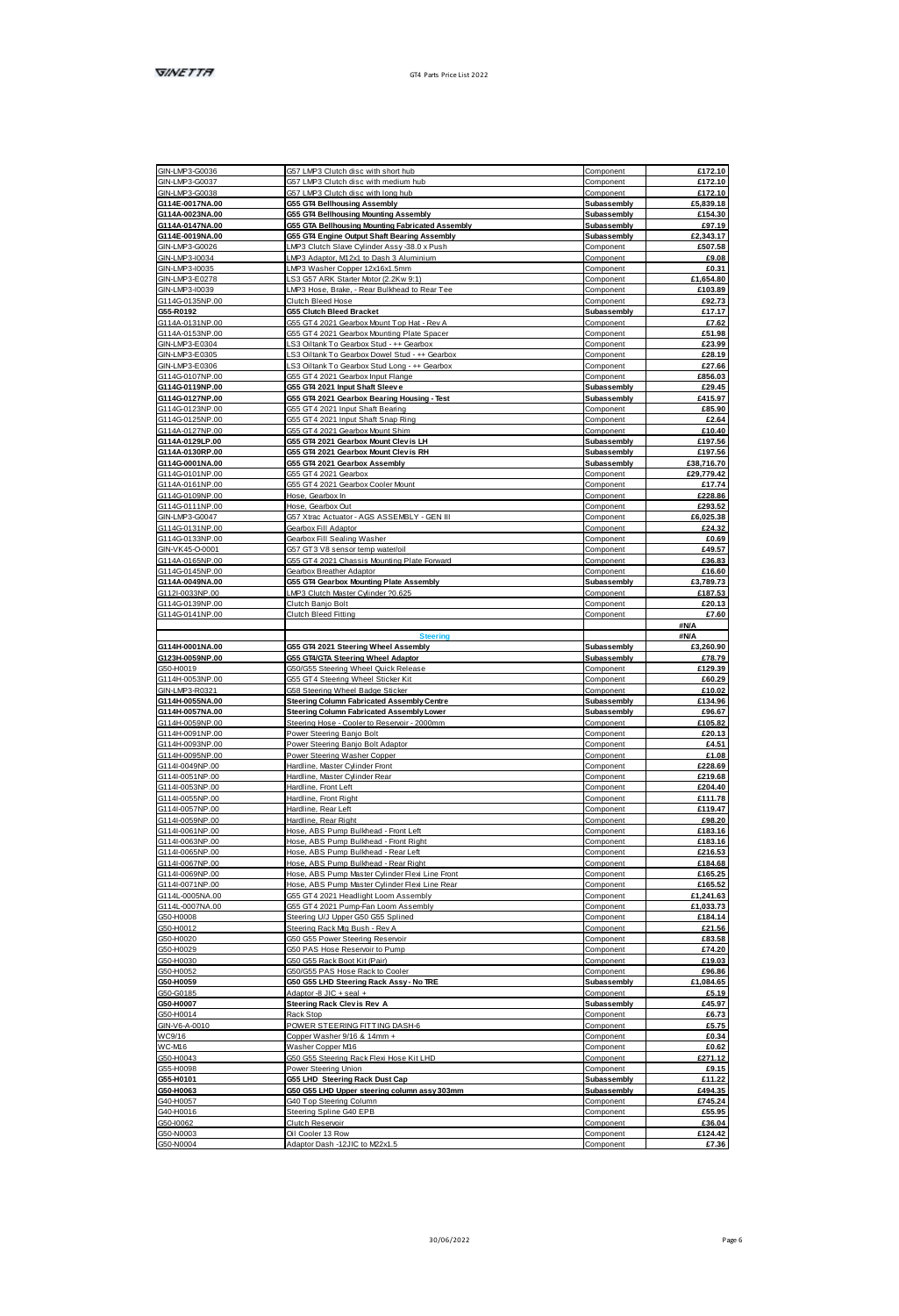| GIN-LMP3-G0036                      | G57 LMP3 Clutch disc with short hub                                                                 | Component                  | £172.10                                                                                                                  |
|-------------------------------------|-----------------------------------------------------------------------------------------------------|----------------------------|--------------------------------------------------------------------------------------------------------------------------|
| GIN-LMP3-G0037                      | G57 LMP3 Clutch disc with medium hub                                                                | Component                  | £172.10                                                                                                                  |
| GINJ MP3/G0038                      | G57   MP3 Clutch disc with loon hub                                                                 | Component                  | £172.10                                                                                                                  |
| G114E-0017NA.00                     | G55 GT4 Bellhousing Assembly                                                                        | Subassembly                | £5,839.18                                                                                                                |
| G114A-0023NA.00                     | G55 GT4 Bellhousing Mounting Assembly                                                               | Subassembly                | £154.30                                                                                                                  |
| G114A-0147NA 00<br>G114E-0019NA.00  | G55 GTA Bellhousing Mounting Fabricated Assembly                                                    | Subassembly<br>Subassembly | 697.19<br><b>6234317</b>                                                                                                 |
| GIN-LMP3-G0026                      | <b>G55 GT4 Engine Output Shaft Bearing Assembly</b><br>LMP3 Clutch Slave Cylinder Assy -38.0 x Push | Component                  | £507.58                                                                                                                  |
| GIN-LMP3-10034                      | LMP3 Adaptor, M12x1 to Dash 3 Aluminium                                                             | Component                  | £9.08                                                                                                                    |
| GINJ MP3J0035                       | LMP3 Washer Copper 12x16x1.5mm                                                                      | Component                  | 60.31                                                                                                                    |
| GINJ MP3-F0278                      | LS3 G57 ARK Staner Motor (2.2Kw 9:1)                                                                | Component                  | £1,654.80                                                                                                                |
| 3IN-LMP3-10039                      | LMP3 Hose, Brake,<br>- Rear Bulkhead to Rear Tee                                                    | Component                  | £103.89                                                                                                                  |
| G114G0135NP.00                      | Clutch Bleed Hose                                                                                   | Component                  | £92.73                                                                                                                   |
| G55-R0192                           | G55 Clutch Bleed Bracket                                                                            | Subassembly                | £17.17                                                                                                                   |
| G114A-0131NP.00                     | G55 GT4 2021 Gearbox Mount Top Hat - Rev A                                                          | Component                  | £7.62                                                                                                                    |
| G114A-0153NP.00                     | G55 GT4 2021 Gearbox Mounting Plate Spacer                                                          | Component                  | £51.98                                                                                                                   |
| GIN-LMP3-E0304                      | LS3 Olltank To Gearbox Stud - ++ Gearbox                                                            | Component                  | £23.99                                                                                                                   |
| GINJ MPS E0305                      | I S3 Oltank To Gearboy Dowel Stud - ea Gearbox                                                      | Component                  | 628.19                                                                                                                   |
| GIN-LMP3-E0306<br>G114G-0107NP.00   | LS3 Oiltank To Gearbox Stud Long - ++ Gearbox<br>G55 GT4 2021 Gearbox Input Flange                  | Component<br>Component     | £27.66<br>£856.03                                                                                                        |
| 01140-0119NP 00                     | GSS GT4 2021 Innut Shaft Sleeve                                                                     | Subassembly                | 629.45                                                                                                                   |
| 01140-0127NP 00                     | G55 GT4 2021 Gearbox Bearing Housing - Test                                                         | Subassembly                | <b>£415.97</b>                                                                                                           |
| G114G-0123NP.00                     | G55 GT4 2021 Input Shaft Bearing                                                                    | Component                  | £85.90                                                                                                                   |
| G114G0125NP.00                      | G55 GT4 2021 Input Shaft Snap Ring                                                                  | Component                  | £2.64                                                                                                                    |
| G1144-0127NP 00                     | GSS GT4 2021 Gearboy Mount Shim                                                                     | Component                  | £10.40                                                                                                                   |
| G114A-0129LP.00                     | G55 GT4 2021 Gearbox Mount Clev is LH                                                               | Subassembly                | £197.56                                                                                                                  |
| G114A-0130RP.00                     | G55 GT4 2021 Gearbox Mount Clev is RH                                                               | Subassembly                | £197.56                                                                                                                  |
| G114G-0001NA.00                     | G55 GT4 2021 Gearbox Assembly                                                                       | Subassembly                | £38,716.70                                                                                                               |
| G114G0101NP.00                      | G55 GT4 2021 Gearbox                                                                                | Component                  | £29,779.42                                                                                                               |
| G114A0161NP.00                      | G55 GT4 2021 Gearbox Cooler Mount                                                                   | Component                  | £17.74                                                                                                                   |
| G114G-0109NP.00                     | Hose, Gearbox In                                                                                    | Component                  | £228.86                                                                                                                  |
| G114G0111NP.00                      | Hose, Gearbox Out                                                                                   | Component                  | £293.52                                                                                                                  |
| GIN-LMP3-G0047                      | G57 Xtrac Actuator - AGS ASSEMBLY - GEN III                                                         | Component                  | £6,025.38                                                                                                                |
| G114G0131NP.00                      | Gearbox Fill Adaptor                                                                                | Component                  | £24.32                                                                                                                   |
| G114G0133NP.00<br>GIN-VK45-0-0001   | Gearbox Fill Sealing Washer<br>G57 GT3 V8 sensor temp waterfoil                                     | Component<br>Component     | £0.69<br>£49.57                                                                                                          |
| G114A-0165NP-00                     | GSS GT4 2021 Chassis Mounting Plate Forward                                                         | Component                  | <b>F36.83</b>                                                                                                            |
| G114G0145NP.00                      | Gearbox Breather Adaptor                                                                            | Component                  | £16.60                                                                                                                   |
|                                     | G55 GT4 Gearbox Mounting Plate Assembly                                                             | Subassembly                | £3,789.73                                                                                                                |
|                                     | MP3 Clutch Master Cylinder 20 625                                                                   | Component                  | 6187.53                                                                                                                  |
| G114A-0049NA.00<br>G112L0033NP.00   |                                                                                                     |                            |                                                                                                                          |
| G114G0139NP.00                      | Clutch Banio Bolt                                                                                   | Component                  | £20.13                                                                                                                   |
| G114G0141NP.00                      | Clutch Bleed Fitting                                                                                | Component                  | £7.60                                                                                                                    |
|                                     |                                                                                                     |                            | <b>#N/A</b>                                                                                                              |
|                                     |                                                                                                     |                            | <b>BMA</b>                                                                                                               |
| G114H-0001NA.00                     | G55 GT4 2021 Steering Wheel Assembly                                                                | Subassembly                |                                                                                                                          |
| G123H-0059NP.00                     | <b>G55 GT4/GTA Steering Wheel Adaptor</b>                                                           | Subassembly                | £3,260.90<br>£78.79                                                                                                      |
| G50-H0019                           | G50/G55 Steering Wheel Quick Release                                                                | Component                  | £129.39                                                                                                                  |
| G114H-0053NP.00                     | G55 GT4 Steering Wheel Sticker Kit                                                                  | Component                  |                                                                                                                          |
| GIN-LMP3-R0321                      | G58 Steering Wheel Badge Sticker                                                                    | Component                  |                                                                                                                          |
| G114H-0055NA.00                     | Steering Column Fabricated Assembly Centre                                                          | Subassembly                | £60.29<br>£10.02<br>£134.96                                                                                              |
| G114H-0057NA.00                     | Steering Column Fabricated Assembly Lower                                                           | Subassembly                | £96.67                                                                                                                   |
| G114HJ059NP.00                      | Steering Hose - Cooler to Reservoir - 2000mm                                                        | Component                  | £105.82                                                                                                                  |
| G114H-0091NP.00                     | Power Steering Banio Bolt                                                                           | Component                  | £20.13                                                                                                                   |
| G114H-0093NP.00<br>G114H/00SNP 00   | Power Steering Banjo Bolt Adaptor<br>Power Steering Washer Conner                                   | Component<br>Component     | £4.51<br>£1.08                                                                                                           |
| G114U0049NP.00                      | Hardline, Master Cylinder Front                                                                     |                            |                                                                                                                          |
| G114I-0051NP.00                     | Hardline, Master Cylinder Rear                                                                      | Component<br>Component     |                                                                                                                          |
| G1141-0053NP.00                     |                                                                                                     | Component                  |                                                                                                                          |
| G114I-0055NP.00                     | Hardline, Front Left<br>Hardine, Front Right                                                        | Component                  |                                                                                                                          |
| G114U0057NP.00                      | Harfine Rearl eft                                                                                   | Component                  |                                                                                                                          |
| G114I-0059NP.00                     | Hardline, Rear Right                                                                                | Component                  | £228.69<br>£219.68<br>£204.40<br>£111.78<br>£119.47<br>£98.20                                                            |
| G114I-0061NP.00                     | Hose, ABS Pump Bulkhead - Front Left                                                                | Component                  |                                                                                                                          |
| G1141-0063NP.00                     | Hose, ABS Pump Bulkhead - Front Right                                                               | Component                  |                                                                                                                          |
| G114I-0065NP.00                     | Hose, ABS Pump Bulkhead - Rear Left                                                                 | Component                  | £183.16<br>£183.16<br>£216.53                                                                                            |
| G1141-0067NP.00                     | Hose, ABS Pump Bulkhead - Rear Right                                                                | Component                  | £184.68                                                                                                                  |
| G1141-0069NP.00                     | Hose, ABS Pump Master Cylinder Flexi Line From                                                      | Component                  |                                                                                                                          |
| G114U0071NP.00                      | Hose, ABS Pump Master Ovlinder Flexi Line Rear                                                      | Component                  |                                                                                                                          |
| G114L-0005NA.00<br>G114L-0007NA.00  | G55 GT4 2021 Headlight Loom Assembly<br>GSS GT4 2021 Pump-Fan Loom Assembly                         | Component<br>Component     |                                                                                                                          |
| GS0-H1008                           | Stepsing LIVI Linner GSD GSS Solined                                                                |                            |                                                                                                                          |
| GS0-H0012                           | Steering Rack Mg Bush - Rev A                                                                       | Component<br>Component     |                                                                                                                          |
| G50-H0020                           | G50 G55 Power Steering Reservoir                                                                    | Component                  |                                                                                                                          |
| G50-H0029                           | G50 PAS Hose Reservoir to Pump                                                                      | Component                  |                                                                                                                          |
| G50-H0030                           | G50 G55 Rack Boot Kit (Pain                                                                         | Component                  |                                                                                                                          |
| GS0-H1052                           | G50/G55 PAS Hose Rack to Cooler                                                                     | Component                  | £165.25<br><b>£165.52</b><br>£1,241.63<br>£1.033.73<br>£184.14<br>621.56<br>£83.58<br>£74.20<br>£19.03<br>£96.86         |
| G50-H0059                           | G50 G55 LHD Steering Rack Assy - No TRE                                                             | Subassembly                | £1,084.65                                                                                                                |
| G50-G0185                           | + keet + 3IL 8- seal +                                                                              | Component                  |                                                                                                                          |
| G50-H0007                           | <b>Steering Rack Clev is Rev. A</b>                                                                 | Subassembly                |                                                                                                                          |
| G50-H0014                           | Rack Stop                                                                                           | Component                  |                                                                                                                          |
| GIN-V6-A-0010                       | POWER STEERING FITTING DASH-6                                                                       | Component                  |                                                                                                                          |
| WC9/16                              | Copper Washer 9/16 & 14mm +                                                                         | Component                  |                                                                                                                          |
|                                     | Washer Copper M16                                                                                   | Component                  |                                                                                                                          |
| WC-M16<br>G50-H0043                 | G50 G55 Steering Rack Flexi Hose Kit LHD                                                            | Component                  |                                                                                                                          |
|                                     | Power Steering Union                                                                                | Component                  |                                                                                                                          |
|                                     | G55 LHD Steering Rack Dust Cap                                                                      | Subassembly                |                                                                                                                          |
| G55-H0098<br>G55-H0101<br>G50-H0063 | G50 G55 LHD Upper steering column assy 303mm                                                        | Subassembly                |                                                                                                                          |
| G40-H1057                           | G40 Top Steering Column                                                                             | Component                  |                                                                                                                          |
| G40-H0016                           | Steering Spline G40 EPB                                                                             | Component                  | £5.19<br>£45.97<br>£6.73<br>£5.75<br>£0.34<br>£0.62<br>£271.12<br>£9.15<br>£11.22<br><b>FANA 35</b><br>6745 24<br>£55.95 |
| G50-10062<br>GS0.N0003              | Clutch Reservoir<br>Oil Cooler 13 Row                                                               | Component<br>Component     | £36.04<br>£124.42                                                                                                        |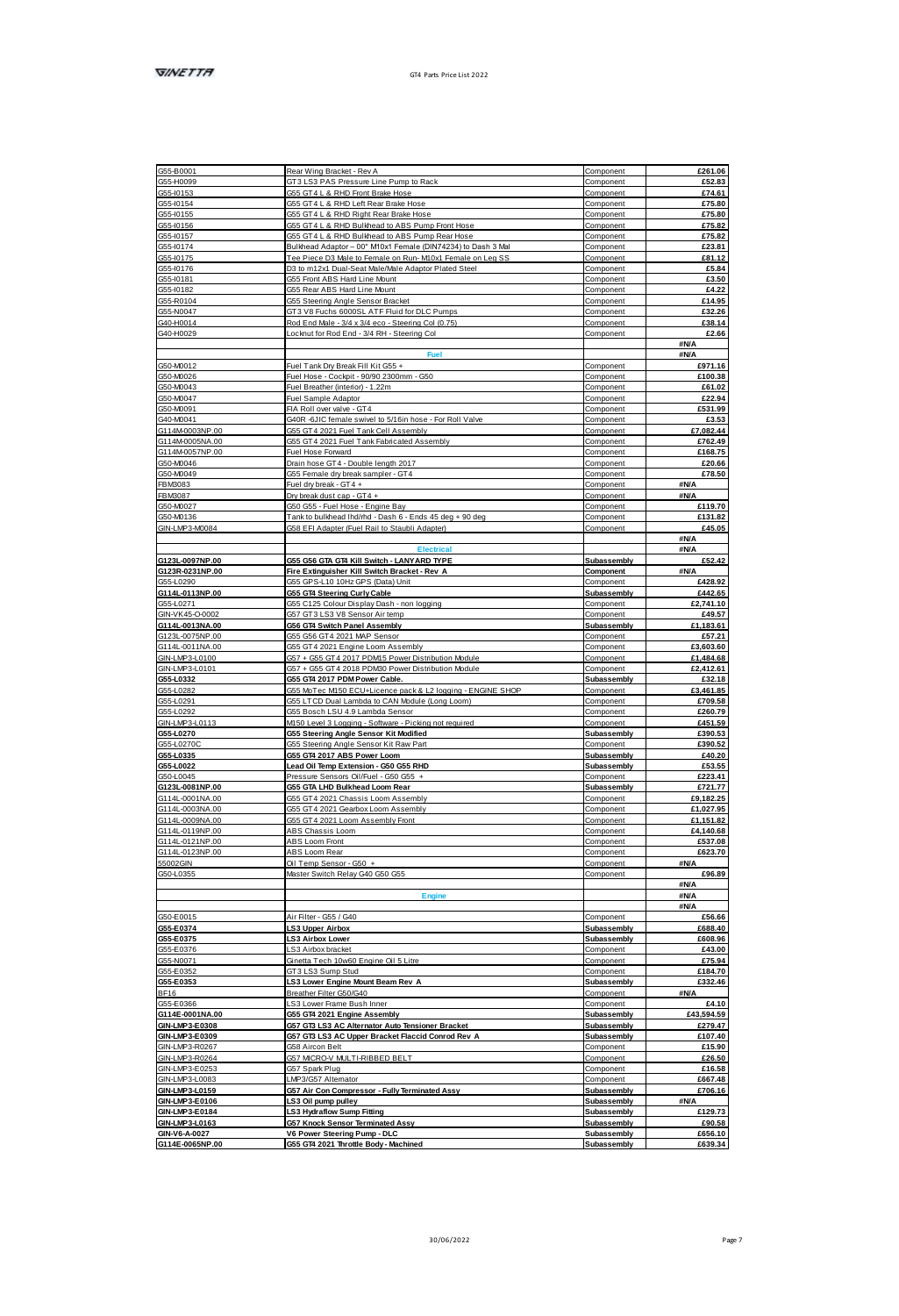|                                                                                                                                              | Rear Wing Bracket - Rev A                                        | Component                  | £261.06                                                                                                                                                              |
|----------------------------------------------------------------------------------------------------------------------------------------------|------------------------------------------------------------------|----------------------------|----------------------------------------------------------------------------------------------------------------------------------------------------------------------|
| GS5-H0099                                                                                                                                    | GT3 LS3 PAS Pressure Line Pump to Rack                           | Component                  | £52.83                                                                                                                                                               |
| G55-10153                                                                                                                                    | G55 GT4 L & RHD Front Brake Hose                                 | Component                  | £74.61                                                                                                                                                               |
| G55-10154                                                                                                                                    | G55 GT4 L & RHD Left Rear Brake Hose                             | Component                  | £75.80                                                                                                                                                               |
| GS5-10155                                                                                                                                    | GSS GT4 L & RHD Right Rear Brake Hose                            | Component                  | £75.80                                                                                                                                                               |
| G55-10156                                                                                                                                    |                                                                  |                            |                                                                                                                                                                      |
|                                                                                                                                              | G55 GT4 L & RHD Bulkhead to ABS Pump Front Hose                  | Component                  | £75.82                                                                                                                                                               |
| GS5-10157                                                                                                                                    | G55 GT4 L & RHD Bulkhead to ABS Pump Rear Hos                    | Component                  | £75.82                                                                                                                                                               |
| GS5-10174                                                                                                                                    | Bulkhead Adaptor - 00" M10x1 Female (DIN74234) to Dash 3 Ma      | Component                  | £23.81                                                                                                                                                               |
| GSS-I0175                                                                                                                                    | Tee Piere D3 Male to Female on Run, M10r1 Female on Len SS       | Component                  | <b>FR1 12</b>                                                                                                                                                        |
| GSSJ0176                                                                                                                                     | D3 to m12x1 Dual-Seat Male/Male Adaptor Plated Steel             | Component                  | £5.84                                                                                                                                                                |
| GS5-10181                                                                                                                                    | G55 Front ABS Hard Line Mount                                    | Component                  | £3.50                                                                                                                                                                |
|                                                                                                                                              |                                                                  |                            |                                                                                                                                                                      |
| GSS-I0182                                                                                                                                    | GSS Rear ABS Hard Line Mount                                     | Component                  | £4.22                                                                                                                                                                |
| GSS-R0104                                                                                                                                    | G55 Steering Angle Sensor Bracket                                | Component                  | £14.95                                                                                                                                                               |
| G55-N0047                                                                                                                                    | GT3 V8 Fuchs 6000SL ATF Fluid for DLC Pumps                      | Component                  | £32.26                                                                                                                                                               |
| G40-H0014                                                                                                                                    | Rod End Male - 3/4 x 3/4 eco - Steering Col (0.75)               | Component                  | £38.14                                                                                                                                                               |
| G40-H0029                                                                                                                                    | Locknut for Rod End - 3/4 RH - Steering Col                      |                            | £2.66                                                                                                                                                                |
|                                                                                                                                              |                                                                  | Component                  | <b>HAVA</b>                                                                                                                                                          |
|                                                                                                                                              |                                                                  |                            |                                                                                                                                                                      |
|                                                                                                                                              | <b>Fuel</b>                                                      |                            | <b>BNA</b>                                                                                                                                                           |
| G50-M0012                                                                                                                                    | Fuel Tank Dry Break Fill Kit GSS +                               | Component                  | £971.16                                                                                                                                                              |
| GS0.MD026                                                                                                                                    | Fuel Hose - Cockoit - 90/90 2300mm - GSD                         | Component                  | £100.38                                                                                                                                                              |
| G50-M0043                                                                                                                                    | Fuel Breather (interior) - 1.22m                                 | Component                  | £61.02                                                                                                                                                               |
|                                                                                                                                              |                                                                  |                            |                                                                                                                                                                      |
| G50-M0047                                                                                                                                    | Fuel Sample Adapton                                              | Component                  | £22.94                                                                                                                                                               |
| GS0.M0091                                                                                                                                    | FIA Roll over valve - GT4                                        | Component                  | 6531.99                                                                                                                                                              |
| G40-MD041                                                                                                                                    | G40R -6JIC female swivel to 5/16in hose - For Roll Valve         | Component                  | 63.53                                                                                                                                                                |
| G114M0003NP.00                                                                                                                               | G55 GT4 2021 Fuel Tank Cell Assembly                             | Comp                       | £7.082.44                                                                                                                                                            |
|                                                                                                                                              |                                                                  |                            |                                                                                                                                                                      |
| G114M0005NA.00                                                                                                                               | GSS GT4 2021 Fuel Tank Fabricated Assembly                       | Component                  | £762.49                                                                                                                                                              |
| G114M0057NP 00                                                                                                                               | Fuel Hose Forward                                                | Component                  | <b>£168.75</b>                                                                                                                                                       |
| G50-M0046                                                                                                                                    | Drain hose GT4 - Double length 2017                              | Component                  | £20.66                                                                                                                                                               |
| G50-M0049                                                                                                                                    | G55 Female dry break sampler - GT4                               | Component                  | £78.50                                                                                                                                                               |
|                                                                                                                                              |                                                                  |                            |                                                                                                                                                                      |
| <b>FBM3083</b>                                                                                                                               | Fuel dry break - GT4 +                                           | Component                  | <b>BMA</b>                                                                                                                                                           |
| <b>FBM9087</b>                                                                                                                               | Dry break dust cap - GT4 +                                       | Component                  | #N/A                                                                                                                                                                 |
| G50-M0027                                                                                                                                    | G50 G55 - Fuel Hose - Engine Bay                                 | Component                  | £119.70                                                                                                                                                              |
| G50-M0136                                                                                                                                    | Tank to bulkhead Ihd/rhd - Dash 6 - Ends 45 deg + 90 deg         | Component                  | £131.82                                                                                                                                                              |
|                                                                                                                                              |                                                                  |                            |                                                                                                                                                                      |
| GIN-LMP3-M0084                                                                                                                               | G58 EFI Adapter (Fuel Rail to Staubli Adapter)                   | Component                  | £45.05                                                                                                                                                               |
|                                                                                                                                              |                                                                  |                            | <b>BMA</b>                                                                                                                                                           |
|                                                                                                                                              |                                                                  |                            | <b>#N/A</b>                                                                                                                                                          |
| G123L-0097NP.00                                                                                                                              | G55 G56 GTA GT4 Kill Switch - LANYARD TYPE                       | Subassembly                | £52.42                                                                                                                                                               |
| G123R-0231NP 00                                                                                                                              |                                                                  |                            | <b>BMA</b>                                                                                                                                                           |
|                                                                                                                                              | Fire Extinguisher Kill Switch Bracket - Rev A                    | Component                  |                                                                                                                                                                      |
| G55-L0290                                                                                                                                    | GSS GPS-L10 10Hz GPS (Data) Unit                                 | Component                  | £428.92                                                                                                                                                              |
| G114L-0113NP.00                                                                                                                              | G55 GT4 Steering Curly Cable                                     | <b>Subassembly</b>         | £442.65                                                                                                                                                              |
| G55-L0271                                                                                                                                    | GSS C125 Colour Display Dash - non logging                       | Component                  | £2,741.10                                                                                                                                                            |
| GINJVK45.CLOODS                                                                                                                              | G57 GT3 LS3 V8 Sensor Air temp                                   | Component                  | £49.57                                                                                                                                                               |
|                                                                                                                                              |                                                                  |                            |                                                                                                                                                                      |
| G114L-0013NA.00                                                                                                                              | G56 GT4 Switch Panel Assembly                                    | Subassembly                | £1,183.61                                                                                                                                                            |
| G123L-0075NP.00                                                                                                                              | GSS GS6 GT4 2021 MAP Senso                                       | Component                  | £57.21                                                                                                                                                               |
| G114L-0011NA.00                                                                                                                              | G55 GT4 2021 Engine Loom Assembly                                | Component                  | £3,603.60                                                                                                                                                            |
| GINJ MP3J 0100                                                                                                                               | G57 + G55 GT4 2017 PDMS Power Distribution Module                | Component                  | <b>F1 484 68</b>                                                                                                                                                     |
|                                                                                                                                              |                                                                  |                            |                                                                                                                                                                      |
| GIN-LMP3-L0101                                                                                                                               | G57 + G55 GT4 2018 PDM30 Power Distribution Module               | Component                  | £2,412.61                                                                                                                                                            |
| G55-L0332                                                                                                                                    | G55 GT4 2017 PDM Power Cable.                                    | Subassembly                | £32.18                                                                                                                                                               |
| GSSJ 0282                                                                                                                                    | G55 MoTec M150 ECU+Licence pack & L2 logging - ENGINE SHOP       | Component                  | <b>#3 461 85</b>                                                                                                                                                     |
| G55-L0291                                                                                                                                    | GSS LTCD Dual Lambda to CAN Module (Long Loom)                   | Component                  | £709.58                                                                                                                                                              |
| GS5-L0292                                                                                                                                    |                                                                  | Component                  | £260.79                                                                                                                                                              |
|                                                                                                                                              | G55 Bosch LSU 4.9 Lambda Sensor                                  |                            |                                                                                                                                                                      |
| GINJ MP3J 0113                                                                                                                               | M150 Level 3 Logging - Software - Picking not required           | Component                  | £451.59                                                                                                                                                              |
| G55-L0270                                                                                                                                    | <b>G55 Steering Angle Sensor Kit Modified</b>                    | Subassembly                | £390.53                                                                                                                                                              |
| G55-L0270C                                                                                                                                   | G55 Steering Angle Sensor Kit Raw Part                           | Component                  | £390.52                                                                                                                                                              |
| 05540335                                                                                                                                     | G55 GT4 2017 ABS Power Loom                                      | <b>Subassembly</b>         | £40.20                                                                                                                                                               |
|                                                                                                                                              |                                                                  |                            |                                                                                                                                                                      |
| G55-L0022                                                                                                                                    | Lead Oil Temp Extension - G50 G55 RHD                            | Subassembly                | £53.55                                                                                                                                                               |
| GS0-J 0045                                                                                                                                   | Pressure Sensors Oil/Fuel - G50 G55 +                            | Component                  | £223.41                                                                                                                                                              |
| G123L-0081NP.00                                                                                                                              | G55 GTA LHD Bulkhead Loom Rear                                   | Subassembly                | £721.77                                                                                                                                                              |
| G114L-0001NA.00                                                                                                                              | G55 GT4 2021 Chassis Loom Assembly                               | Component                  | £9.182.25                                                                                                                                                            |
| G114L0003NA.00                                                                                                                               | GSS GT4 2021 Geather Loom Assembly                               | Component                  | £1.027.95                                                                                                                                                            |
|                                                                                                                                              |                                                                  |                            |                                                                                                                                                                      |
| G114L0009NA.00                                                                                                                               | GSS GT4 2021 Loom Assembly Front                                 | Component                  | <b>#1 151 82</b>                                                                                                                                                     |
| G114L-0119NP.00                                                                                                                              | ABS Chassis Loom                                                 | Component                  | £4.140.68                                                                                                                                                            |
| G114L-0121NP.00                                                                                                                              | ABS Loom Front                                                   | Component                  | £537.08                                                                                                                                                              |
| G114L0123NP.00                                                                                                                               |                                                                  |                            | £623.70                                                                                                                                                              |
|                                                                                                                                              | ABS Loom Rear                                                    | Component                  |                                                                                                                                                                      |
|                                                                                                                                              | Oil Temp Sensor - G50 +                                          | Component                  | <b>BMA</b>                                                                                                                                                           |
|                                                                                                                                              |                                                                  | Component                  | £96.89                                                                                                                                                               |
|                                                                                                                                              |                                                                  |                            | <b>#N/A</b>                                                                                                                                                          |
|                                                                                                                                              | Master Switch Relay G40 G50 G55                                  |                            |                                                                                                                                                                      |
|                                                                                                                                              |                                                                  |                            |                                                                                                                                                                      |
| <b>55002GIN</b><br>G50-L0355                                                                                                                 | Freing                                                           |                            | <b>BMA</b>                                                                                                                                                           |
|                                                                                                                                              |                                                                  |                            | #N/A                                                                                                                                                                 |
|                                                                                                                                              | Air Filter - GSS / G40                                           | Component                  | £56.66                                                                                                                                                               |
|                                                                                                                                              | <b>LS3 Upper Airbox</b>                                          | Subassembly                | £688.40                                                                                                                                                              |
|                                                                                                                                              |                                                                  |                            | £608.96                                                                                                                                                              |
|                                                                                                                                              | <b>LS3 Airbox Lower</b>                                          | Subassembly                |                                                                                                                                                                      |
|                                                                                                                                              | LS3 Airbox bracket                                               | Component                  | £43.00                                                                                                                                                               |
|                                                                                                                                              | Ginetta Tech 10w60 Engine Oil 5 Lits                             | Component                  |                                                                                                                                                                      |
|                                                                                                                                              | GT3 LS3 Sump Stud                                                | Component                  |                                                                                                                                                                      |
|                                                                                                                                              |                                                                  |                            |                                                                                                                                                                      |
|                                                                                                                                              | LS3 Lower Engine Mount Beam Rev A                                | Subassembly                |                                                                                                                                                                      |
|                                                                                                                                              | Breather Filter G50/G40                                          | Component                  | <b>SNA</b>                                                                                                                                                           |
|                                                                                                                                              | LS3 Lower Frame Bush Inner                                       | Component                  |                                                                                                                                                                      |
| GS0-F0015<br>G55-E0374<br>G55-E0375<br>G55-E0376<br>GS5-N007<br>055, E0352<br>G55-E0353<br>BF16<br>G55-E0366<br>G114E-0001NA.00              | G55 GT4 2021 Engine Assembly                                     | Subassembly                |                                                                                                                                                                      |
|                                                                                                                                              |                                                                  |                            |                                                                                                                                                                      |
|                                                                                                                                              | G57 GT3 LS3 AC Alternator Auto Tensioner Bracket                 | Subassembly                |                                                                                                                                                                      |
|                                                                                                                                              | G57 GT3 LS3 AC Upper Bracket Flaccid Conrod Rev A                | Subassembly                |                                                                                                                                                                      |
|                                                                                                                                              | G58 Aircon Belt                                                  | Component                  |                                                                                                                                                                      |
|                                                                                                                                              | G57 MCRO-V MJLTI-RIBBED BELT                                     | Component                  |                                                                                                                                                                      |
|                                                                                                                                              | G57 Spark Plug                                                   | Component                  |                                                                                                                                                                      |
|                                                                                                                                              |                                                                  |                            |                                                                                                                                                                      |
|                                                                                                                                              | LMP3/G57 Altemator                                               | Component                  |                                                                                                                                                                      |
|                                                                                                                                              | G57 Air Con Compressor - Fully Terminated Assy                   | Subassembly                |                                                                                                                                                                      |
|                                                                                                                                              | LS3 Oil pump pulley                                              | Subassembly                | <b>BMA</b>                                                                                                                                                           |
| GIN-LMP3-E0308<br>GIN-LMP3-E0309<br>GIN-LMP3-R0267<br>GIN-LMP3-R0264<br>GIN-LMP3-E0253<br>GINJ MPSJ 0083<br>GINJ MP3J 0159<br>GIN-LMP3-E0106 |                                                                  |                            |                                                                                                                                                                      |
| GIN-LMP3-E0184                                                                                                                               | LS3 Hydraflow Sump Fitting                                       | Subassembly                |                                                                                                                                                                      |
| GIN-LMP3-L0163<br><b>GIN-V6-4-0027</b>                                                                                                       | G57 Knock Sensor Terminated Assy<br>V6 Power Steering Pump - DLC | Subassembly<br>Subassembly | £75.94<br>6184.70<br>£332.46<br>£4.10<br>£43,594.59<br>£279.47<br>£107.40<br>£15.90<br>£26.50<br>£16.58<br>£667.48<br>£706.16<br>£129.73<br>£90.58<br><b>FR58 10</b> |